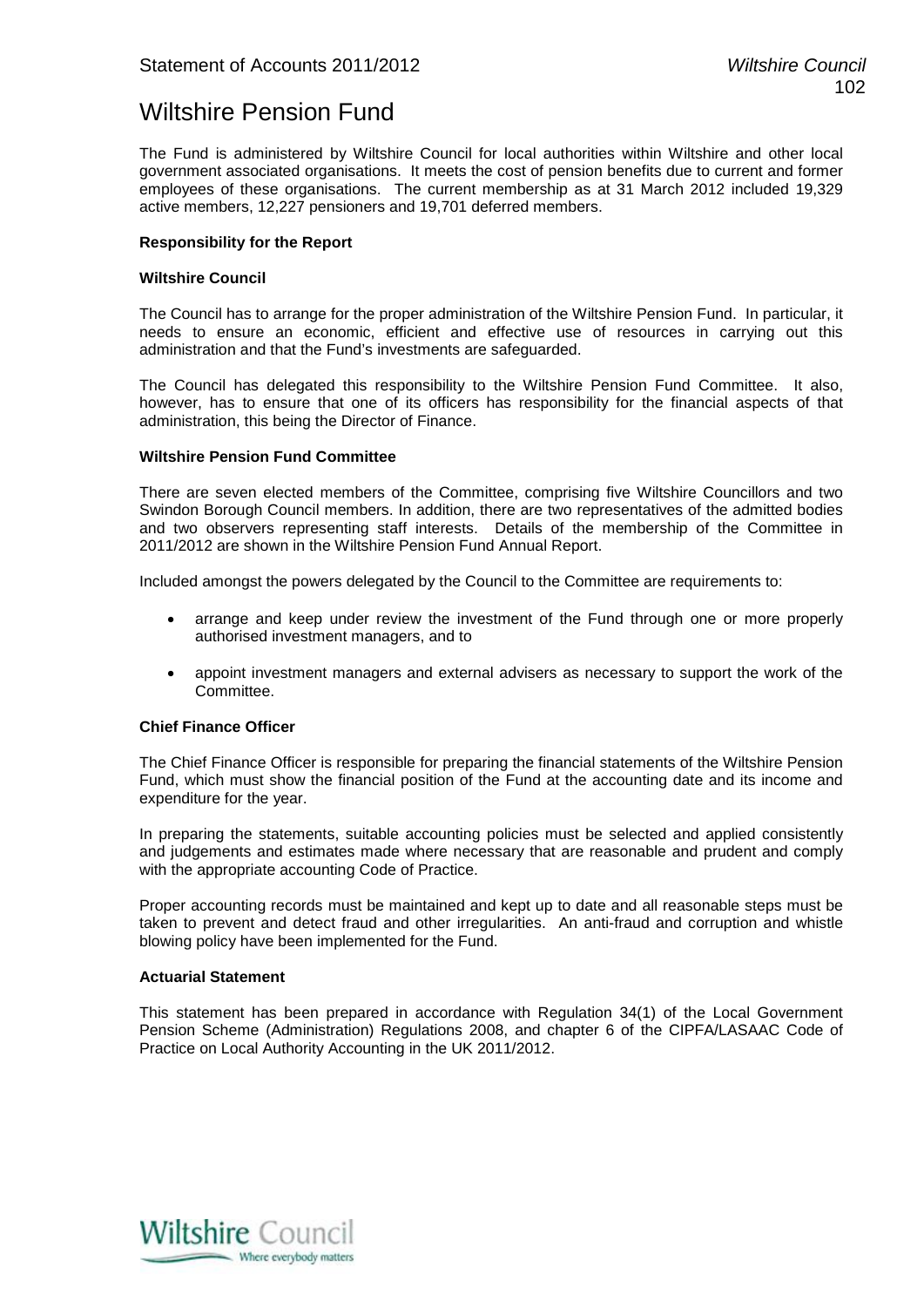# Wiltshire Pension Fund

The Fund is administered by Wiltshire Council for local authorities within Wiltshire and other local government associated organisations. It meets the cost of pension benefits due to current and former employees of these organisations. The current membership as at 31 March 2012 included 19,329 active members, 12,227 pensioners and 19,701 deferred members.

#### **Responsibility for the Report**

#### **Wiltshire Council**

The Council has to arrange for the proper administration of the Wiltshire Pension Fund. In particular, it needs to ensure an economic, efficient and effective use of resources in carrying out this administration and that the Fund's investments are safeguarded.

The Council has delegated this responsibility to the Wiltshire Pension Fund Committee. It also, however, has to ensure that one of its officers has responsibility for the financial aspects of that administration, this being the Director of Finance.

#### **Wiltshire Pension Fund Committee**

There are seven elected members of the Committee, comprising five Wiltshire Councillors and two Swindon Borough Council members. In addition, there are two representatives of the admitted bodies and two observers representing staff interests. Details of the membership of the Committee in 2011/2012 are shown in the Wiltshire Pension Fund Annual Report.

Included amongst the powers delegated by the Council to the Committee are requirements to:

- arrange and keep under review the investment of the Fund through one or more properly authorised investment managers, and to
- appoint investment managers and external advisers as necessary to support the work of the Committee.

#### **Chief Finance Officer**

The Chief Finance Officer is responsible for preparing the financial statements of the Wiltshire Pension Fund, which must show the financial position of the Fund at the accounting date and its income and expenditure for the year.

In preparing the statements, suitable accounting policies must be selected and applied consistently and judgements and estimates made where necessary that are reasonable and prudent and comply with the appropriate accounting Code of Practice.

Proper accounting records must be maintained and kept up to date and all reasonable steps must be taken to prevent and detect fraud and other irregularities. An anti-fraud and corruption and whistle blowing policy have been implemented for the Fund.

#### **Actuarial Statement**

This statement has been prepared in accordance with Regulation 34(1) of the Local Government Pension Scheme (Administration) Regulations 2008, and chapter 6 of the CIPFA/LASAAC Code of Practice on Local Authority Accounting in the UK 2011/2012.

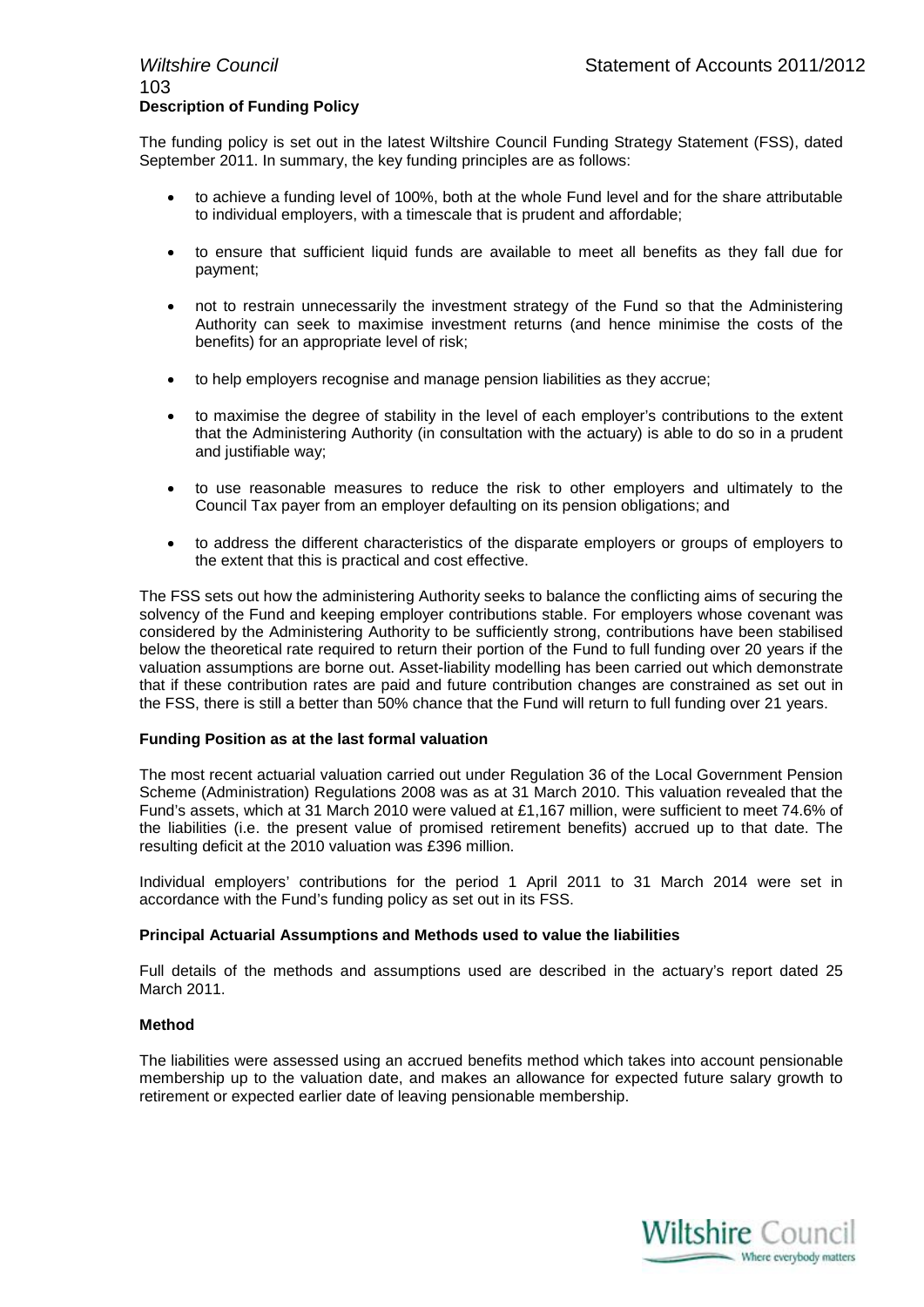# 103 **Description of Funding Policy**

The funding policy is set out in the latest Wiltshire Council Funding Strategy Statement (FSS), dated September 2011. In summary, the key funding principles are as follows:

- to achieve a funding level of 100%, both at the whole Fund level and for the share attributable to individual employers, with a timescale that is prudent and affordable;
- to ensure that sufficient liquid funds are available to meet all benefits as they fall due for payment;
- not to restrain unnecessarily the investment strategy of the Fund so that the Administering Authority can seek to maximise investment returns (and hence minimise the costs of the benefits) for an appropriate level of risk;
- to help employers recognise and manage pension liabilities as they accrue;
- to maximise the degree of stability in the level of each employer's contributions to the extent that the Administering Authority (in consultation with the actuary) is able to do so in a prudent and justifiable way;
- to use reasonable measures to reduce the risk to other employers and ultimately to the Council Tax payer from an employer defaulting on its pension obligations; and
- to address the different characteristics of the disparate employers or groups of employers to the extent that this is practical and cost effective.

The FSS sets out how the administering Authority seeks to balance the conflicting aims of securing the solvency of the Fund and keeping employer contributions stable. For employers whose covenant was considered by the Administering Authority to be sufficiently strong, contributions have been stabilised below the theoretical rate required to return their portion of the Fund to full funding over 20 years if the valuation assumptions are borne out. Asset-liability modelling has been carried out which demonstrate that if these contribution rates are paid and future contribution changes are constrained as set out in the FSS, there is still a better than 50% chance that the Fund will return to full funding over 21 years.

#### **Funding Position as at the last formal valuation**

The most recent actuarial valuation carried out under Regulation 36 of the Local Government Pension Scheme (Administration) Regulations 2008 was as at 31 March 2010. This valuation revealed that the Fund's assets, which at 31 March 2010 were valued at £1,167 million, were sufficient to meet 74.6% of the liabilities (i.e. the present value of promised retirement benefits) accrued up to that date. The resulting deficit at the 2010 valuation was £396 million.

Individual employers' contributions for the period 1 April 2011 to 31 March 2014 were set in accordance with the Fund's funding policy as set out in its FSS.

#### **Principal Actuarial Assumptions and Methods used to value the liabilities**

Full details of the methods and assumptions used are described in the actuary's report dated 25 March 2011.

#### **Method**

The liabilities were assessed using an accrued benefits method which takes into account pensionable membership up to the valuation date, and makes an allowance for expected future salary growth to retirement or expected earlier date of leaving pensionable membership.

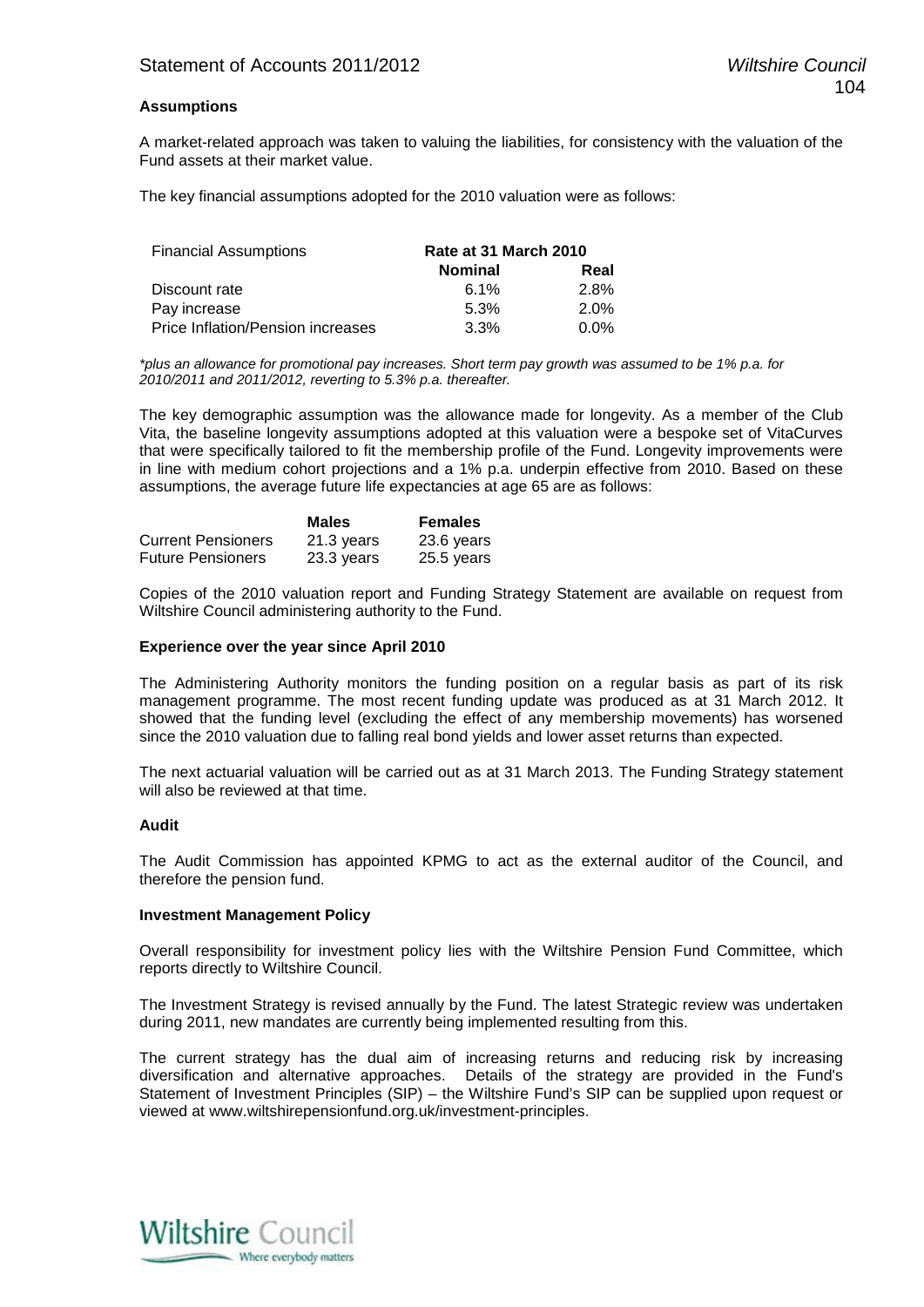#### **Assumptions**

A market-related approach was taken to valuing the liabilities, for consistency with the valuation of the Fund assets at their market value.

The key financial assumptions adopted for the 2010 valuation were as follows:

| <b>Financial Assumptions</b>      | Rate at 31 March 2010 |         |
|-----------------------------------|-----------------------|---------|
|                                   | <b>Nominal</b>        | Real    |
| Discount rate                     | $6.1\%$               | 2.8%    |
| Pay increase                      | 5.3%                  | 2.0%    |
| Price Inflation/Pension increases | 3.3%                  | $0.0\%$ |

*\*plus an allowance for promotional pay increases. Short term pay growth was assumed to be 1% p.a. for 2010/2011 and 2011/2012, reverting to 5.3% p.a. thereafter.*

The key demographic assumption was the allowance made for longevity. As a member of the Club Vita, the baseline longevity assumptions adopted at this valuation were a bespoke set of VitaCurves that were specifically tailored to fit the membership profile of the Fund. Longevity improvements were in line with medium cohort projections and a 1% p.a. underpin effective from 2010. Based on these assumptions, the average future life expectancies at age 65 are as follows:

|                           | <b>Males</b> | <b>Females</b> |
|---------------------------|--------------|----------------|
| <b>Current Pensioners</b> | 21.3 years   | 23.6 years     |
| <b>Future Pensioners</b>  | 23.3 years   | 25.5 years     |

Copies of the 2010 valuation report and Funding Strategy Statement are available on request from Wiltshire Council administering authority to the Fund.

#### **Experience over the year since April 2010**

The Administering Authority monitors the funding position on a regular basis as part of its risk management programme. The most recent funding update was produced as at 31 March 2012. It showed that the funding level (excluding the effect of any membership movements) has worsened since the 2010 valuation due to falling real bond yields and lower asset returns than expected.

The next actuarial valuation will be carried out as at 31 March 2013. The Funding Strategy statement will also be reviewed at that time.

#### **Audit**

The Audit Commission has appointed KPMG to act as the external auditor of the Council, and therefore the pension fund.

#### **Investment Management Policy**

Overall responsibility for investment policy lies with the Wiltshire Pension Fund Committee, which reports directly to Wiltshire Council.

The Investment Strategy is revised annually by the Fund. The latest Strategic review was undertaken during 2011, new mandates are currently being implemented resulting from this.

The current strategy has the dual aim of increasing returns and reducing risk by increasing diversification and alternative approaches. Details of the strategy are provided in the Fund's Statement of Investment Principles (SIP) – the Wiltshire Fund's SIP can be supplied upon request or viewed at www.wiltshirepensionfund.org.uk/investment-principles.

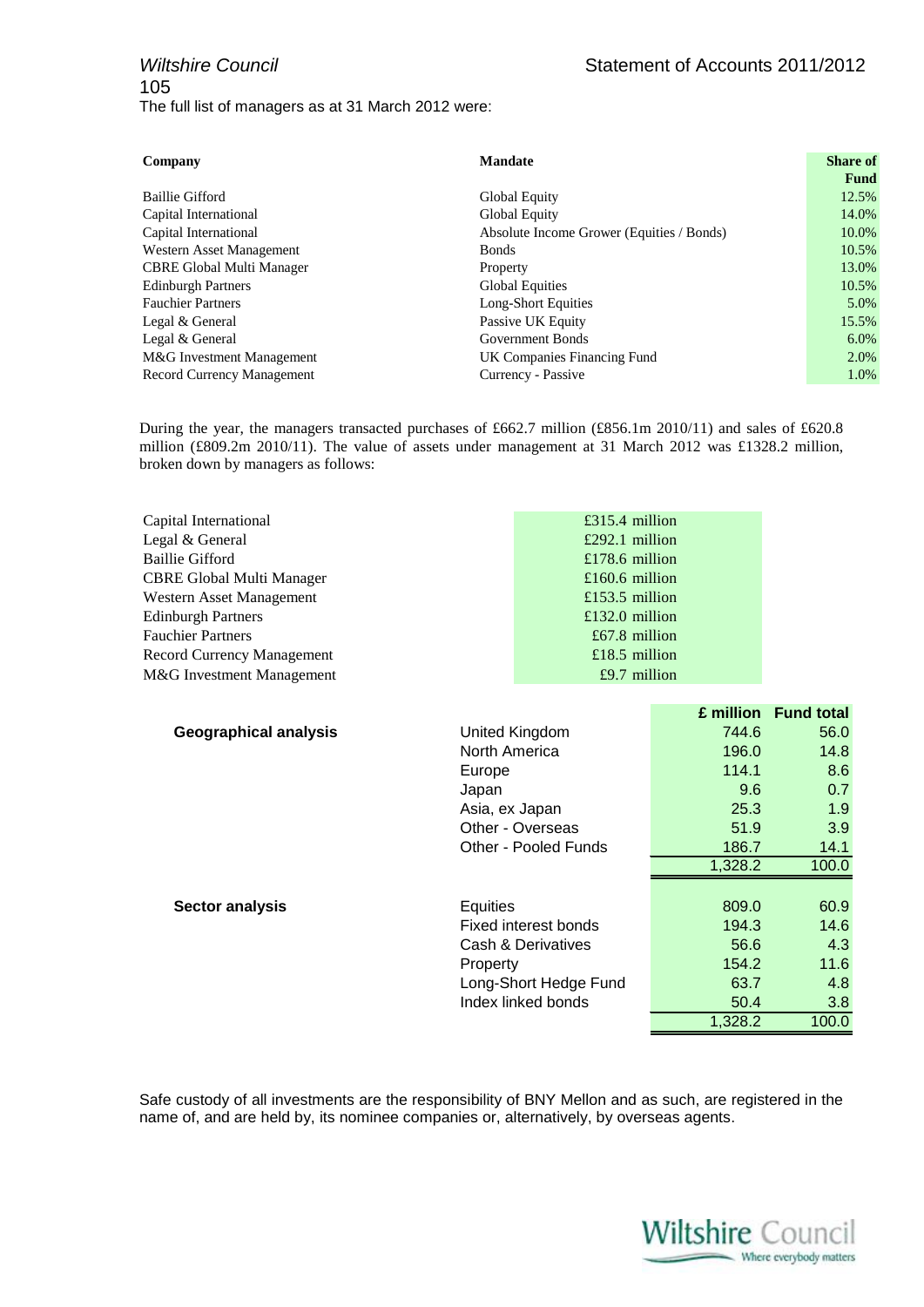| Company                           | <b>Mandate</b>                            | <b>Share of</b> |
|-----------------------------------|-------------------------------------------|-----------------|
|                                   |                                           | <b>Fund</b>     |
| Baillie Gifford                   | Global Equity                             | 12.5%           |
| Capital International             | Global Equity                             | 14.0%           |
| Capital International             | Absolute Income Grower (Equities / Bonds) | 10.0%           |
| Western Asset Management          | <b>Bonds</b>                              | 10.5%           |
| <b>CBRE Global Multi Manager</b>  | Property                                  | 13.0%           |
| <b>Edinburgh Partners</b>         | <b>Global Equities</b>                    | 10.5%           |
| <b>Fauchier Partners</b>          | Long-Short Equities                       | $5.0\%$         |
| Legal & General                   | Passive UK Equity                         | 15.5%           |
| Legal & General                   | Government Bonds                          | $6.0\%$         |
| M&G Investment Management         | UK Companies Financing Fund               | $2.0\%$         |
| <b>Record Currency Management</b> | Currency - Passive                        | 1.0%            |

During the year, the managers transacted purchases of £662.7 million (£856.1m 2010/11) and sales of £620.8 million (£809.2m 2010/11). The value of assets under management at 31 March 2012 was £1328.2 million, broken down by managers as follows:

| Capital International             | £315.4 million  |
|-----------------------------------|-----------------|
| Legal & General                   | £292.1 million  |
| <b>Baillie Gifford</b>            | £178.6 million  |
| <b>CBRE Global Multi Manager</b>  | £160.6 million  |
| Western Asset Management          | £153.5 million  |
| <b>Edinburgh Partners</b>         | £132.0 million  |
| <b>Fauchier Partners</b>          | $£67.8$ million |
| <b>Record Currency Management</b> | £18.5 million   |
| M&G Investment Management         | $£9.7$ million  |

|                              |                       | £ million | <b>Fund total</b> |
|------------------------------|-----------------------|-----------|-------------------|
| <b>Geographical analysis</b> | United Kingdom        | 744.6     | 56.0              |
|                              | North America         | 196.0     | 14.8              |
|                              | Europe                | 114.1     | 8.6               |
|                              | Japan                 | 9.6       | 0.7               |
|                              | Asia, ex Japan        | 25.3      | 1.9               |
|                              | Other - Overseas      | 51.9      | 3.9               |
|                              | Other - Pooled Funds  | 186.7     | 14.1              |
|                              |                       | 1.328.2   | 100.0             |
|                              |                       |           |                   |
| <b>Sector analysis</b>       | Equities              | 809.0     | 60.9              |
|                              | Fixed interest bonds  | 194.3     | 14.6              |
|                              | Cash & Derivatives    | 56.6      | 4.3               |
|                              | Property              | 154.2     | 11.6              |
|                              | Long-Short Hedge Fund | 63.7      | 4.8               |
|                              | Index linked bonds    | 50.4      | 3.8               |
|                              |                       | 1,328.2   | 100.0             |

Safe custody of all investments are the responsibility of BNY Mellon and as such, are registered in the name of, and are held by, its nominee companies or, alternatively, by overseas agents.

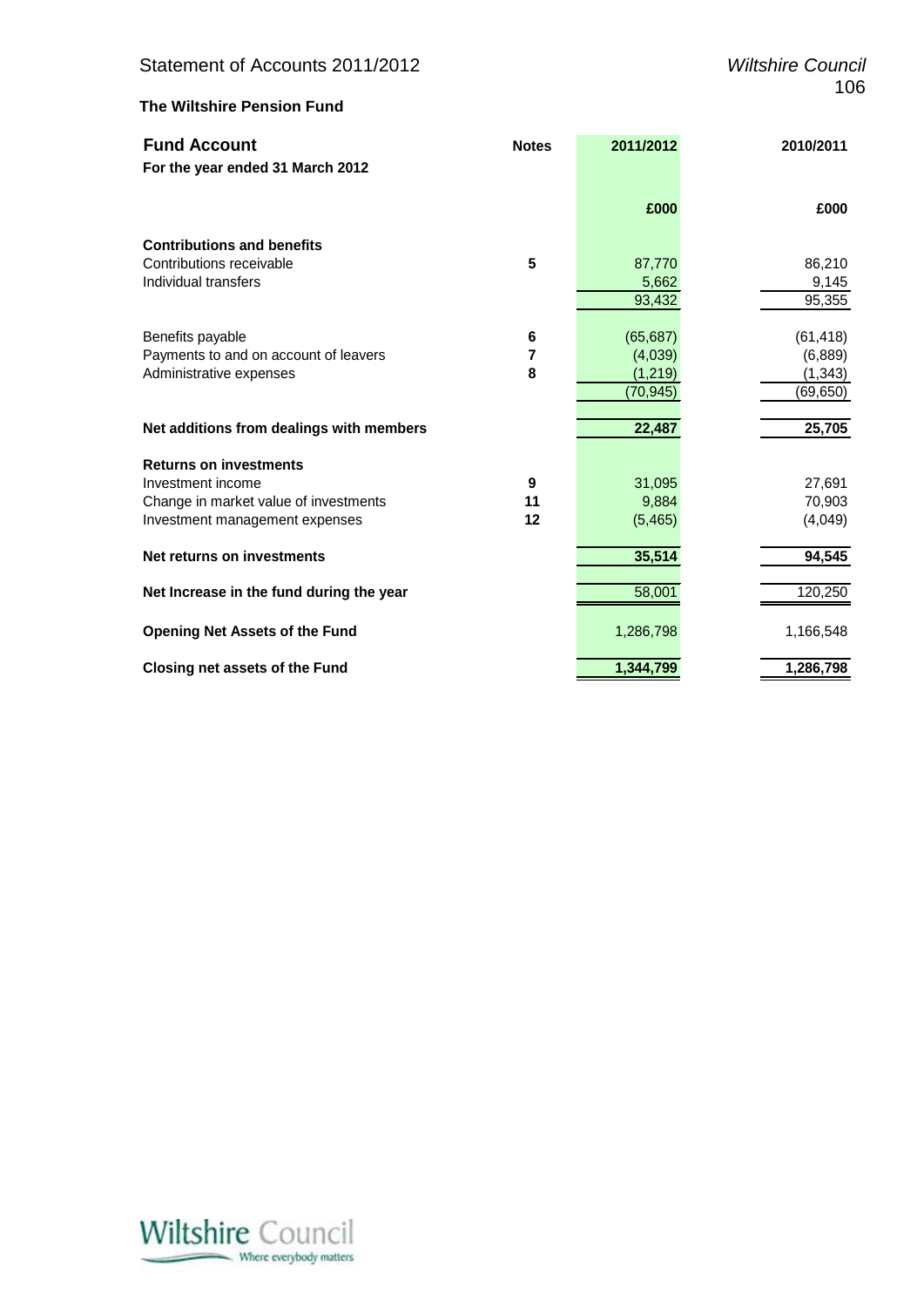### **The Wiltshire Pension Fund**

| <b>Fund Account</b>                      | <b>Notes</b> | 2011/2012 | 2010/2011 |
|------------------------------------------|--------------|-----------|-----------|
| For the year ended 31 March 2012         |              |           |           |
|                                          |              | £000      | £000      |
| <b>Contributions and benefits</b>        |              |           |           |
| Contributions receivable                 | 5            | 87,770    | 86,210    |
| Individual transfers                     |              | 5,662     | 9,145     |
|                                          |              | 93,432    | 95,355    |
| Benefits payable                         | 6            | (65, 687) | (61, 418) |
| Payments to and on account of leavers    | 7            | (4,039)   | (6,889)   |
| Administrative expenses                  | 8            | (1, 219)  | (1, 343)  |
|                                          |              | (70,945)  | (69,650)  |
| Net additions from dealings with members |              | 22,487    | 25,705    |
| <b>Returns on investments</b>            |              |           |           |
| Investment income                        | 9            | 31,095    | 27,691    |
| Change in market value of investments    | 11           | 9,884     | 70,903    |
| Investment management expenses           | 12           | (5,465)   | (4,049)   |
| Net returns on investments               |              | 35,514    | 94,545    |
| Net Increase in the fund during the year |              | 58,001    | 120,250   |
| <b>Opening Net Assets of the Fund</b>    |              | 1,286,798 | 1,166,548 |
| <b>Closing net assets of the Fund</b>    |              | 1,344,799 | 1,286,798 |

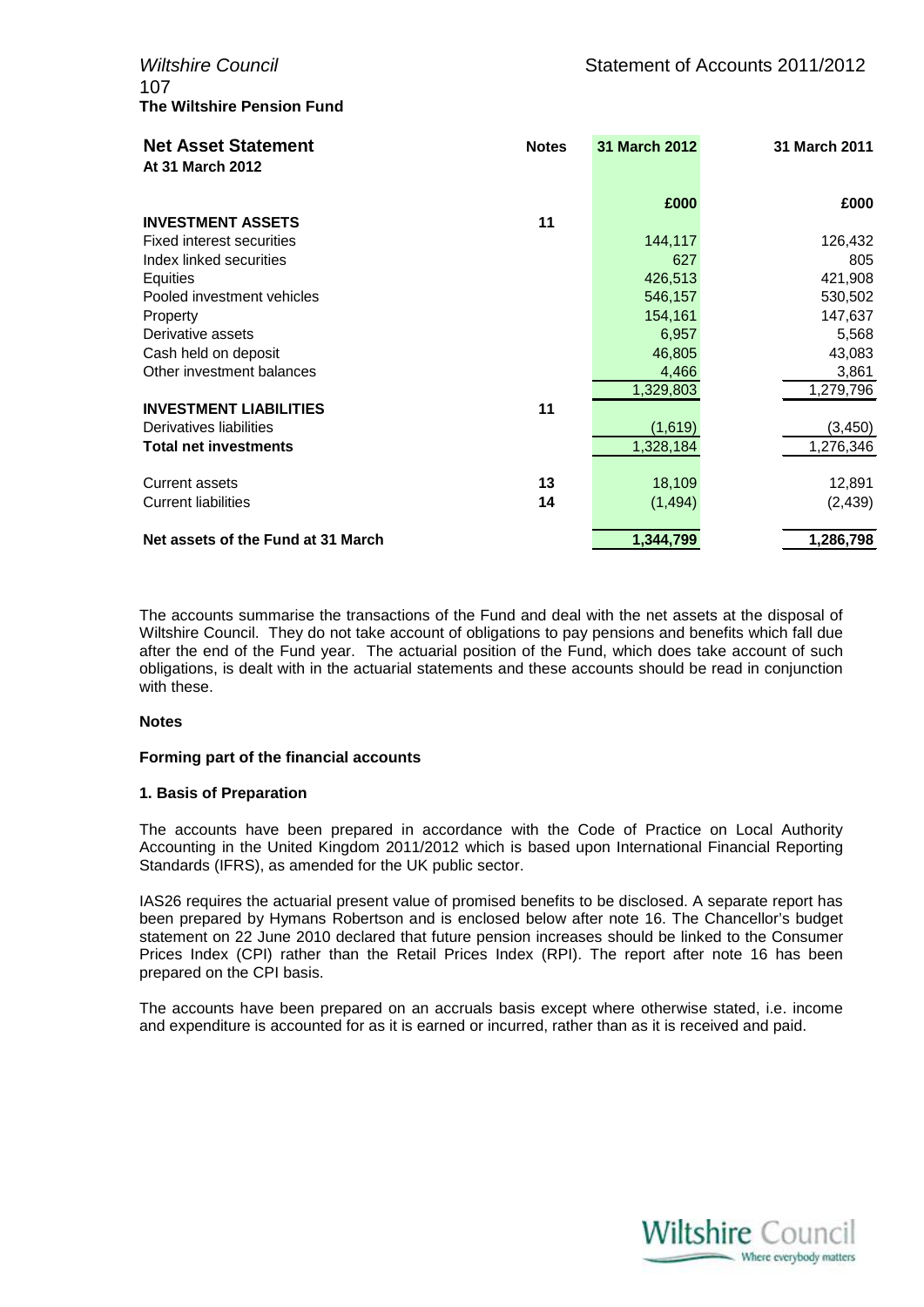107 **The Wiltshire Pension Fund**

| <b>Net Asset Statement</b><br>At 31 March 2012 | <b>Notes</b> | 31 March 2012 | 31 March 2011 |
|------------------------------------------------|--------------|---------------|---------------|
|                                                |              |               |               |
|                                                |              | £000          | £000          |
| <b>INVESTMENT ASSETS</b>                       | 11           |               |               |
| <b>Fixed interest securities</b>               |              | 144,117       | 126,432       |
| Index linked securities                        |              | 627           | 805           |
| Equities                                       |              | 426,513       | 421,908       |
| Pooled investment vehicles                     |              | 546,157       | 530,502       |
| Property                                       |              | 154,161       | 147,637       |
| Derivative assets                              |              | 6,957         | 5,568         |
| Cash held on deposit                           |              | 46,805        | 43,083        |
| Other investment balances                      |              | 4,466         | 3,861         |
|                                                |              | 1,329,803     | 1,279,796     |
| <b>INVESTMENT LIABILITIES</b>                  | 11           |               |               |
| Derivatives liabilities                        |              | (1,619)       | (3, 450)      |
| <b>Total net investments</b>                   |              | 1,328,184     | 1,276,346     |
|                                                |              |               |               |
| Current assets                                 | 13           | 18,109        | 12,891        |
| <b>Current liabilities</b>                     | 14           | (1, 494)      | (2, 439)      |
| Net assets of the Fund at 31 March             |              | 1,344,799     | 1,286,798     |

The accounts summarise the transactions of the Fund and deal with the net assets at the disposal of Wiltshire Council. They do not take account of obligations to pay pensions and benefits which fall due after the end of the Fund year. The actuarial position of the Fund, which does take account of such obligations, is dealt with in the actuarial statements and these accounts should be read in conjunction with these.

#### **Notes**

#### **Forming part of the financial accounts**

#### **1. Basis of Preparation**

The accounts have been prepared in accordance with the Code of Practice on Local Authority Accounting in the United Kingdom 2011/2012 which is based upon International Financial Reporting Standards (IFRS), as amended for the UK public sector.

IAS26 requires the actuarial present value of promised benefits to be disclosed. A separate report has been prepared by Hymans Robertson and is enclosed below after note 16. The Chancellor's budget statement on 22 June 2010 declared that future pension increases should be linked to the Consumer Prices Index (CPI) rather than the Retail Prices Index (RPI). The report after note 16 has been prepared on the CPI basis.

The accounts have been prepared on an accruals basis except where otherwise stated, i.e. income and expenditure is accounted for as it is earned or incurred, rather than as it is received and paid.

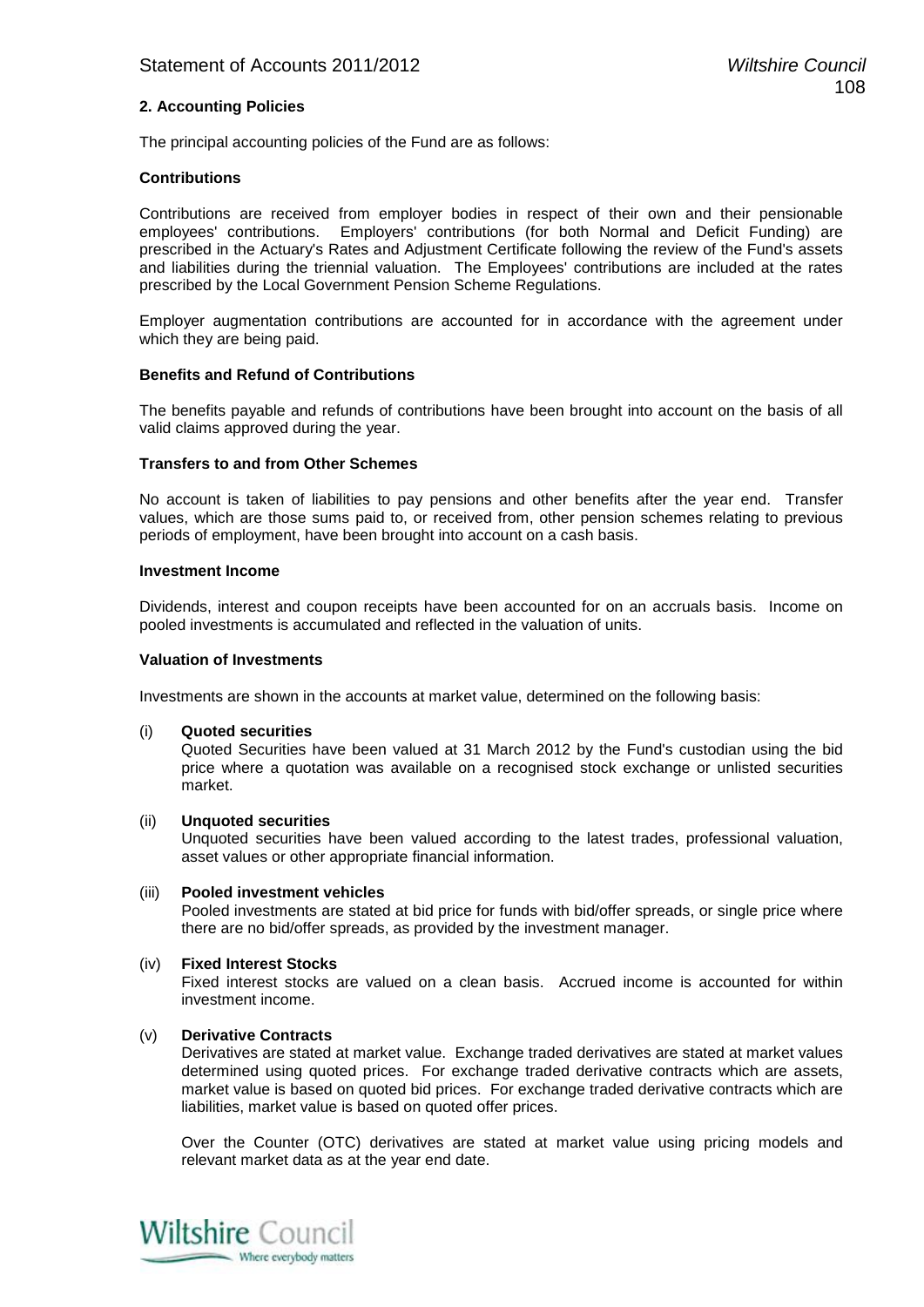#### **2. Accounting Policies**

The principal accounting policies of the Fund are as follows:

#### **Contributions**

Contributions are received from employer bodies in respect of their own and their pensionable employees' contributions. Employers' contributions (for both Normal and Deficit Funding) are prescribed in the Actuary's Rates and Adjustment Certificate following the review of the Fund's assets and liabilities during the triennial valuation. The Employees' contributions are included at the rates prescribed by the Local Government Pension Scheme Regulations.

Employer augmentation contributions are accounted for in accordance with the agreement under which they are being paid.

#### **Benefits and Refund of Contributions**

The benefits payable and refunds of contributions have been brought into account on the basis of all valid claims approved during the year.

#### **Transfers to and from Other Schemes**

No account is taken of liabilities to pay pensions and other benefits after the year end. Transfer values, which are those sums paid to, or received from, other pension schemes relating to previous periods of employment, have been brought into account on a cash basis.

#### **Investment Income**

Dividends, interest and coupon receipts have been accounted for on an accruals basis. Income on pooled investments is accumulated and reflected in the valuation of units.

#### **Valuation of Investments**

Investments are shown in the accounts at market value, determined on the following basis:

(i) **Quoted securities**

Quoted Securities have been valued at 31 March 2012 by the Fund's custodian using the bid price where a quotation was available on a recognised stock exchange or unlisted securities market.

#### (ii) **Unquoted securities**

Unquoted securities have been valued according to the latest trades, professional valuation, asset values or other appropriate financial information.

#### (iii) **Pooled investment vehicles**

Pooled investments are stated at bid price for funds with bid/offer spreads, or single price where there are no bid/offer spreads, as provided by the investment manager.

#### (iv) **Fixed Interest Stocks**

Fixed interest stocks are valued on a clean basis. Accrued income is accounted for within investment income.

#### (v) **Derivative Contracts**

Derivatives are stated at market value. Exchange traded derivatives are stated at market values determined using quoted prices. For exchange traded derivative contracts which are assets, market value is based on quoted bid prices. For exchange traded derivative contracts which are liabilities, market value is based on quoted offer prices.

Over the Counter (OTC) derivatives are stated at market value using pricing models and relevant market data as at the year end date.

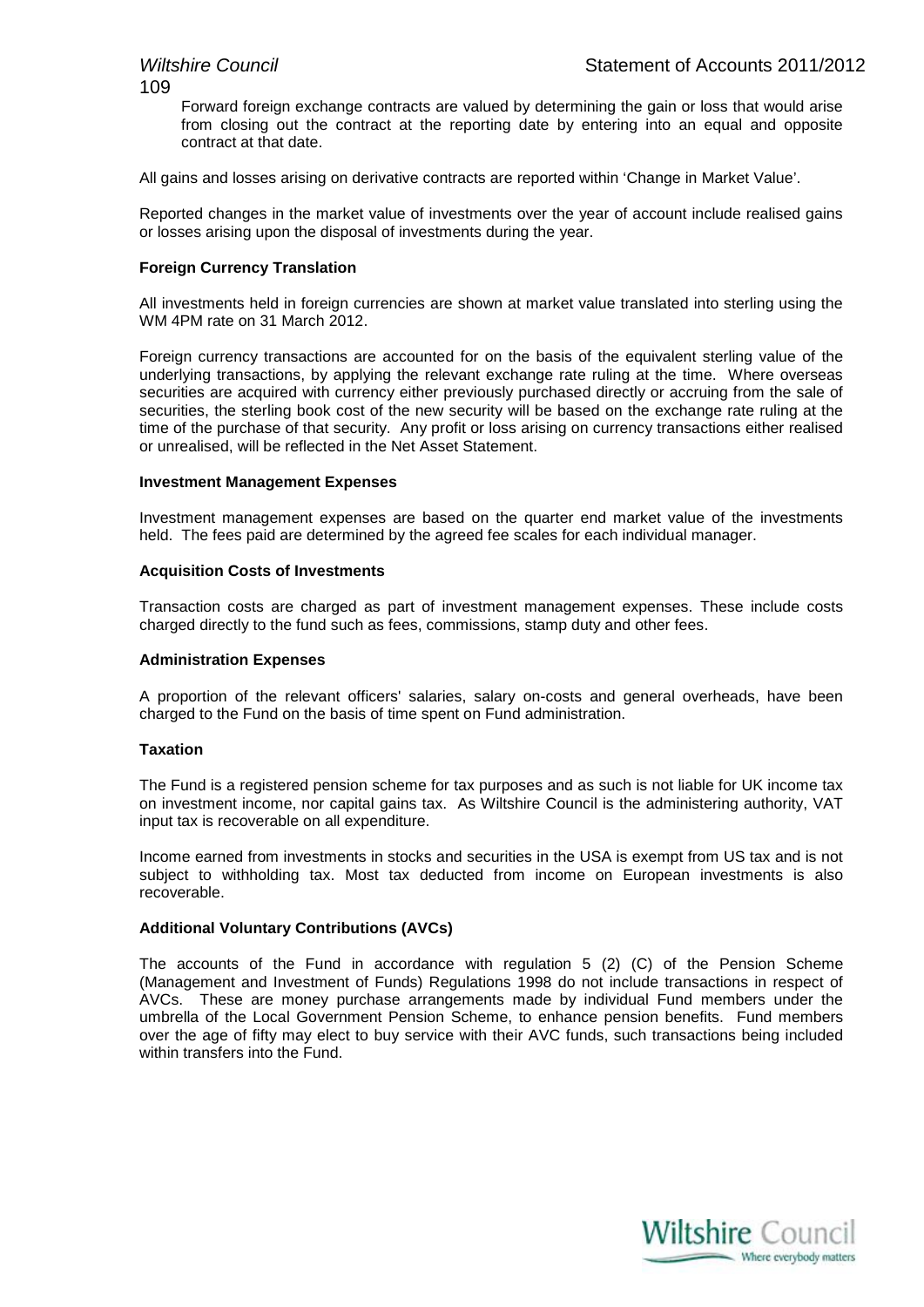109

Forward foreign exchange contracts are valued by determining the gain or loss that would arise from closing out the contract at the reporting date by entering into an equal and opposite contract at that date.

All gains and losses arising on derivative contracts are reported within 'Change in Market Value'.

Reported changes in the market value of investments over the year of account include realised gains or losses arising upon the disposal of investments during the year.

#### **Foreign Currency Translation**

All investments held in foreign currencies are shown at market value translated into sterling using the WM 4PM rate on 31 March 2012.

Foreign currency transactions are accounted for on the basis of the equivalent sterling value of the underlying transactions, by applying the relevant exchange rate ruling at the time. Where overseas securities are acquired with currency either previously purchased directly or accruing from the sale of securities, the sterling book cost of the new security will be based on the exchange rate ruling at the time of the purchase of that security. Any profit or loss arising on currency transactions either realised or unrealised, will be reflected in the Net Asset Statement.

#### **Investment Management Expenses**

Investment management expenses are based on the quarter end market value of the investments held. The fees paid are determined by the agreed fee scales for each individual manager.

#### **Acquisition Costs of Investments**

Transaction costs are charged as part of investment management expenses. These include costs charged directly to the fund such as fees, commissions, stamp duty and other fees.

#### **Administration Expenses**

A proportion of the relevant officers' salaries, salary on-costs and general overheads, have been charged to the Fund on the basis of time spent on Fund administration.

#### **Taxation**

The Fund is a registered pension scheme for tax purposes and as such is not liable for UK income tax on investment income, nor capital gains tax. As Wiltshire Council is the administering authority, VAT input tax is recoverable on all expenditure.

Income earned from investments in stocks and securities in the USA is exempt from US tax and is not subject to withholding tax. Most tax deducted from income on European investments is also recoverable.

#### **Additional Voluntary Contributions (AVCs)**

The accounts of the Fund in accordance with regulation 5 (2) (C) of the Pension Scheme (Management and Investment of Funds) Regulations 1998 do not include transactions in respect of AVCs. These are money purchase arrangements made by individual Fund members under the umbrella of the Local Government Pension Scheme, to enhance pension benefits. Fund members over the age of fifty may elect to buy service with their AVC funds, such transactions being included within transfers into the Fund.

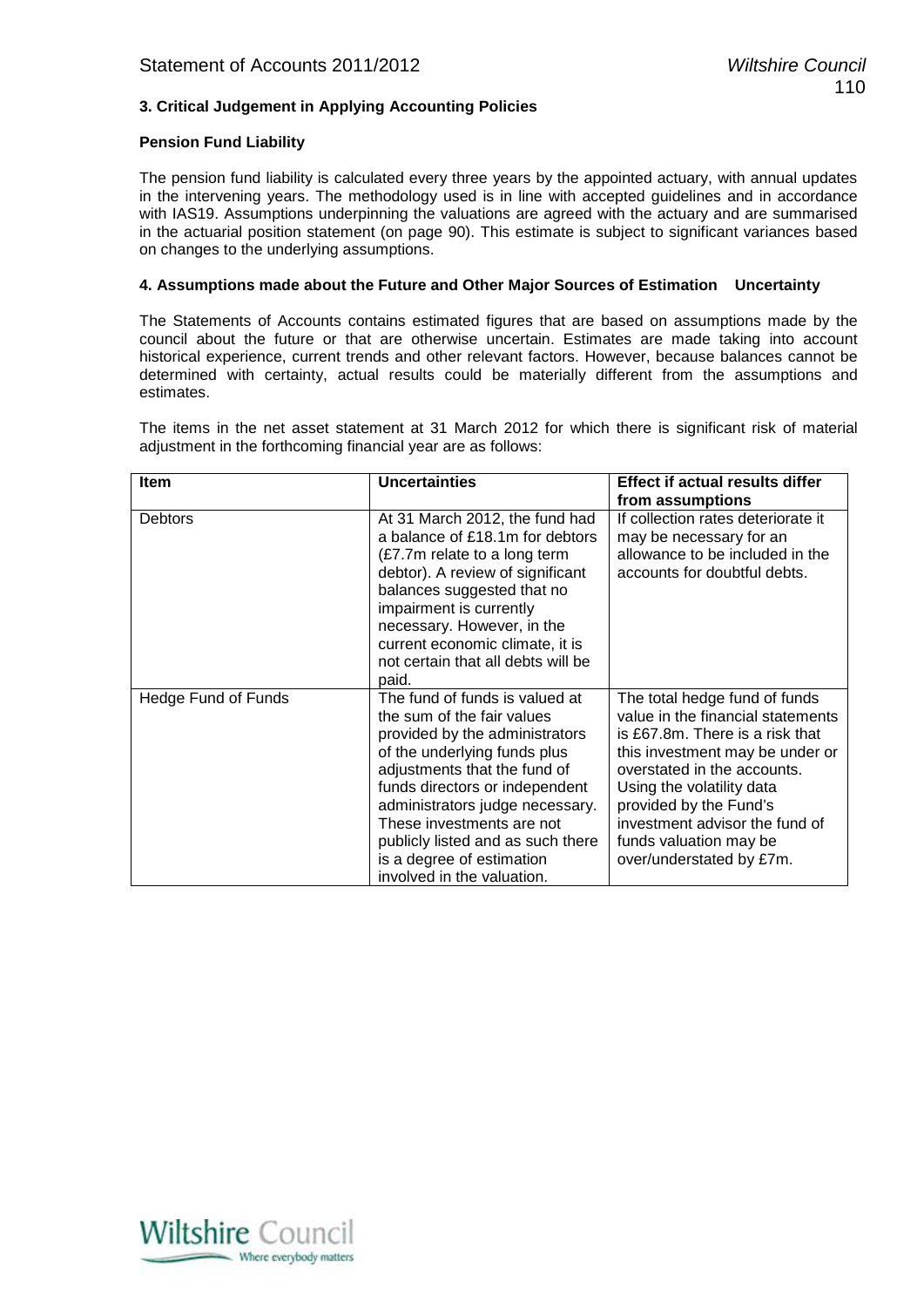#### **3. Critical Judgement in Applying Accounting Policies**

#### **Pension Fund Liability**

The pension fund liability is calculated every three years by the appointed actuary, with annual updates in the intervening years. The methodology used is in line with accepted guidelines and in accordance with IAS19. Assumptions underpinning the valuations are agreed with the actuary and are summarised in the actuarial position statement (on page 90). This estimate is subject to significant variances based on changes to the underlying assumptions.

#### **4. Assumptions made about the Future and Other Major Sources of Estimation Uncertainty**

The Statements of Accounts contains estimated figures that are based on assumptions made by the council about the future or that are otherwise uncertain. Estimates are made taking into account historical experience, current trends and other relevant factors. However, because balances cannot be determined with certainty, actual results could be materially different from the assumptions and estimates.

The items in the net asset statement at 31 March 2012 for which there is significant risk of material adjustment in the forthcoming financial year are as follows:

| Item                | <b>Uncertainties</b>                                                                                                                                                                                                                                                                                                                                             | <b>Effect if actual results differ</b>                                                                                                                                                                                                                                                                                 |
|---------------------|------------------------------------------------------------------------------------------------------------------------------------------------------------------------------------------------------------------------------------------------------------------------------------------------------------------------------------------------------------------|------------------------------------------------------------------------------------------------------------------------------------------------------------------------------------------------------------------------------------------------------------------------------------------------------------------------|
|                     |                                                                                                                                                                                                                                                                                                                                                                  | from assumptions                                                                                                                                                                                                                                                                                                       |
| <b>Debtors</b>      | At 31 March 2012, the fund had<br>a balance of £18.1m for debtors<br>(£7.7m relate to a long term<br>debtor). A review of significant<br>balances suggested that no<br>impairment is currently<br>necessary. However, in the<br>current economic climate, it is<br>not certain that all debts will be<br>paid.                                                   | If collection rates deteriorate it<br>may be necessary for an<br>allowance to be included in the<br>accounts for doubtful debts.                                                                                                                                                                                       |
| Hedge Fund of Funds | The fund of funds is valued at<br>the sum of the fair values<br>provided by the administrators<br>of the underlying funds plus<br>adjustments that the fund of<br>funds directors or independent<br>administrators judge necessary.<br>These investments are not<br>publicly listed and as such there<br>is a degree of estimation<br>involved in the valuation. | The total hedge fund of funds<br>value in the financial statements<br>is £67.8m. There is a risk that<br>this investment may be under or<br>overstated in the accounts.<br>Using the volatility data<br>provided by the Fund's<br>investment advisor the fund of<br>funds valuation may be<br>over/understated by £7m. |

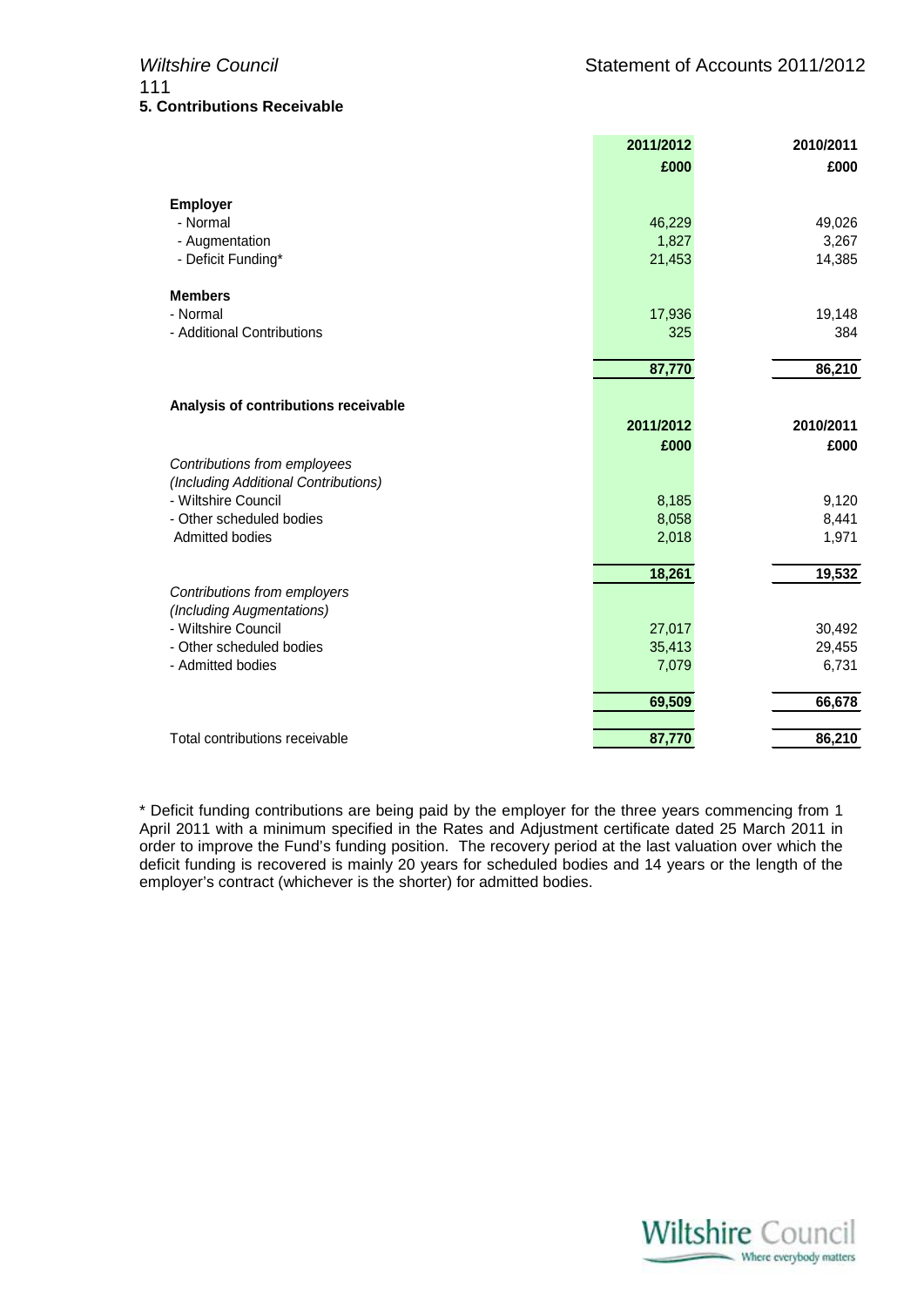|                                                 | 2011/2012        | 2010/2011       |
|-------------------------------------------------|------------------|-----------------|
|                                                 | £000             | £000            |
| <b>Employer</b>                                 |                  |                 |
| - Normal                                        | 46,229           | 49,026          |
| - Augmentation                                  | 1,827            | 3,267           |
| - Deficit Funding*                              | 21,453           | 14,385          |
| <b>Members</b>                                  |                  |                 |
| - Normal                                        | 17,936           | 19,148          |
| - Additional Contributions                      | 325              | 384             |
|                                                 | 87,770           | 86,210          |
| Analysis of contributions receivable            |                  |                 |
|                                                 | 2011/2012        | 2010/2011       |
|                                                 | £000             | £000            |
| Contributions from employees                    |                  |                 |
| (Including Additional Contributions)            |                  |                 |
| - Wiltshire Council                             | 8,185            | 9,120           |
| - Other scheduled bodies                        | 8,058            | 8,441           |
| <b>Admitted bodies</b>                          | 2,018            | 1,971           |
|                                                 | 18,261           | 19,532          |
| Contributions from employers                    |                  |                 |
| (Including Augmentations)                       |                  |                 |
| - Wiltshire Council<br>- Other scheduled bodies | 27,017<br>35,413 | 30,492          |
| - Admitted bodies                               | 7,079            | 29,455<br>6,731 |
|                                                 |                  |                 |
|                                                 | 69,509           | 66,678          |
| Total contributions receivable                  | 87,770           | 86,210          |

\* Deficit funding contributions are being paid by the employer for the three years commencing from 1 April 2011 with a minimum specified in the Rates and Adjustment certificate dated 25 March 2011 in order to improve the Fund's funding position. The recovery period at the last valuation over which the deficit funding is recovered is mainly 20 years for scheduled bodies and 14 years or the length of the employer's contract (whichever is the shorter) for admitted bodies.

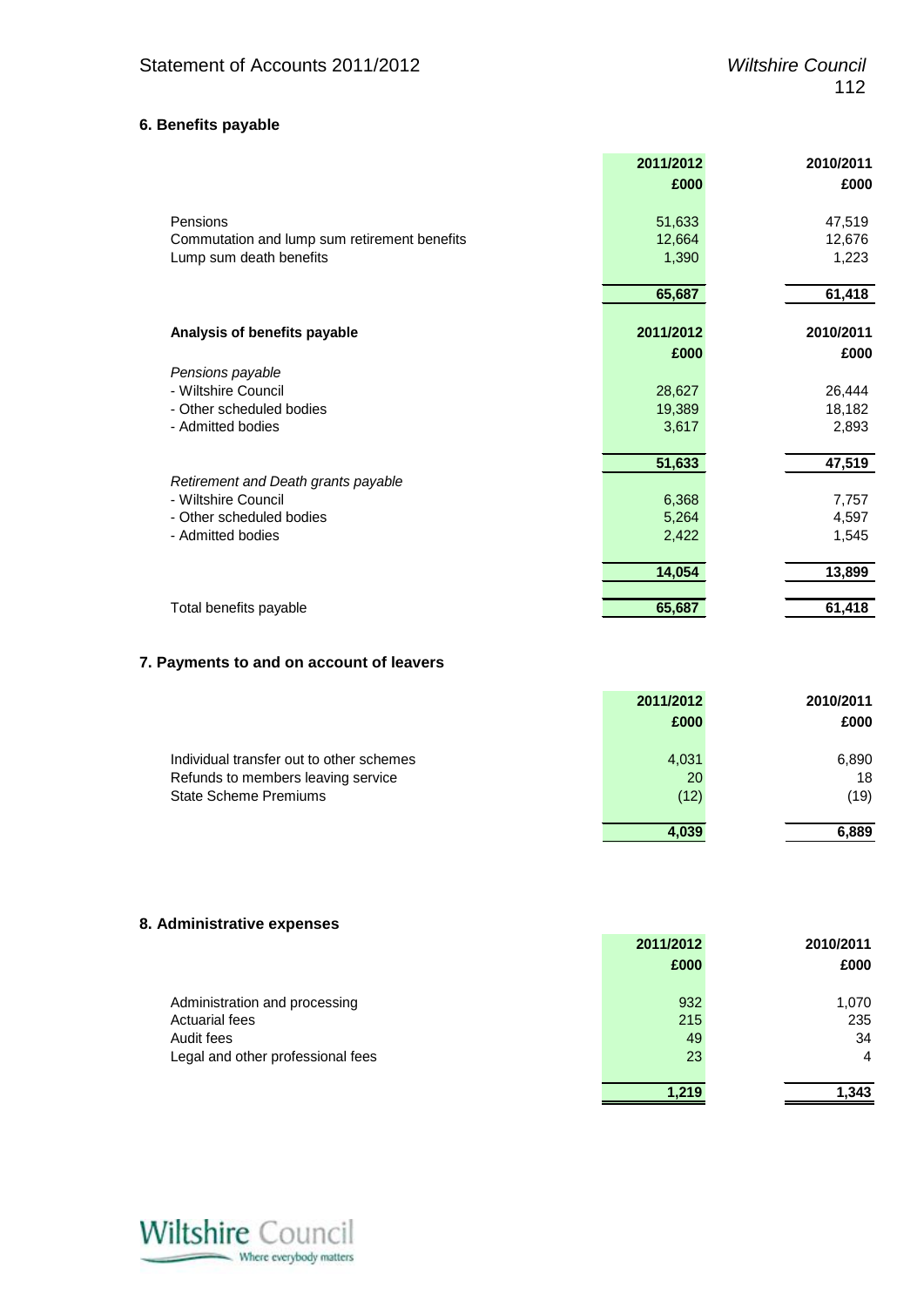# **6. Benefits payable**

|                                              | 2011/2012 | 2010/2011 |
|----------------------------------------------|-----------|-----------|
|                                              | £000      | £000      |
| Pensions                                     | 51,633    | 47,519    |
| Commutation and lump sum retirement benefits | 12,664    | 12,676    |
| Lump sum death benefits                      | 1,390     | 1,223     |
|                                              |           |           |
|                                              | 65,687    | 61,418    |
| Analysis of benefits payable                 | 2011/2012 | 2010/2011 |
|                                              |           |           |
|                                              | £000      | £000      |
| Pensions payable                             |           |           |
| - Wiltshire Council                          | 28,627    | 26,444    |
| - Other scheduled bodies                     | 19,389    | 18,182    |
| - Admitted bodies                            | 3,617     | 2,893     |
|                                              | 51,633    | 47,519    |
| Retirement and Death grants payable          |           |           |
| - Wiltshire Council                          | 6,368     | 7,757     |
| - Other scheduled bodies                     | 5,264     | 4,597     |
| - Admitted bodies                            | 2,422     | 1,545     |
|                                              |           |           |
|                                              | 14,054    | 13,899    |
| Total benefits payable                       | 65,687    | 61,418    |

#### **7. Payments to and on account of leavers**

|                                          | 2011/2012 | 2010/2011 |
|------------------------------------------|-----------|-----------|
|                                          | £000      | £000      |
| Individual transfer out to other schemes | 4,031     | 6,890     |
| Refunds to members leaving service       | 20        | 18        |
| <b>State Scheme Premiums</b>             | (12)      | (19)      |
|                                          | 4.039     | 6,889     |

#### **8. Administrative expenses**

|                                   | 2011/2012 | 2010/2011      |
|-----------------------------------|-----------|----------------|
|                                   | £000      | £000           |
| Administration and processing     | 932       | 1,070          |
| <b>Actuarial fees</b>             | 215       | 235            |
| Audit fees                        | 49        | 34             |
| Legal and other professional fees | 23        | $\overline{4}$ |
|                                   | 1.219     | 1,343          |

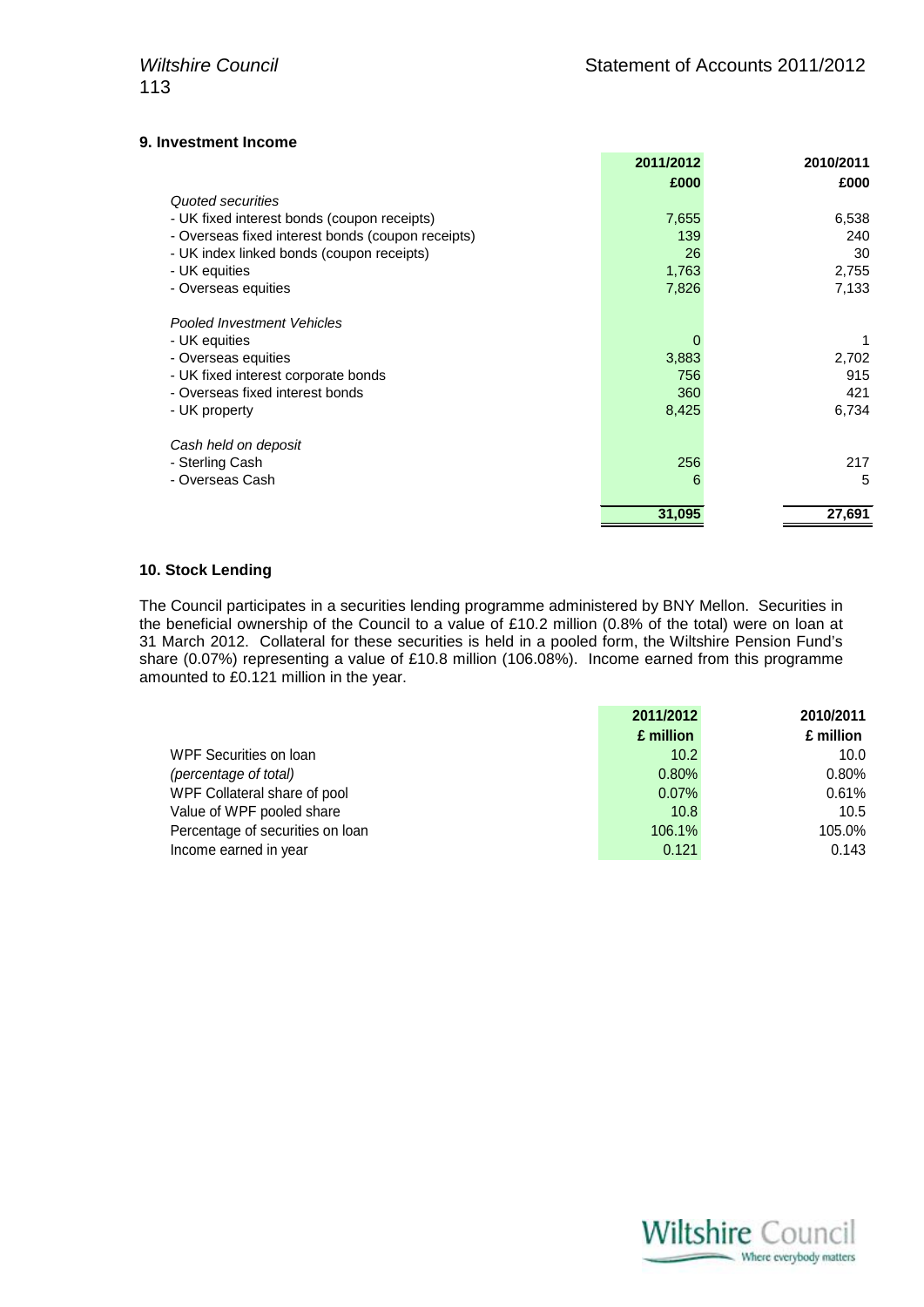#### **9. Investment Income**

|                                                   | 2011/2012 | 2010/2011 |
|---------------------------------------------------|-----------|-----------|
|                                                   | £000      | £000      |
| Quoted securities                                 |           |           |
| - UK fixed interest bonds (coupon receipts)       | 7,655     | 6,538     |
| - Overseas fixed interest bonds (coupon receipts) | 139       | 240       |
| - UK index linked bonds (coupon receipts)         | 26        | 30        |
| - UK equities                                     | 1,763     | 2,755     |
| - Overseas equities                               | 7,826     | 7,133     |
| <b>Pooled Investment Vehicles</b>                 |           |           |
| - UK equities                                     | 0         |           |
|                                                   |           | 2,702     |
| - Overseas equities                               | 3,883     |           |
| - UK fixed interest corporate bonds               | 756       | 915       |
| - Overseas fixed interest bonds                   | 360       | 421       |
| - UK property                                     | 8,425     | 6,734     |
| Cash held on deposit                              |           |           |
| - Sterling Cash                                   | 256       | 217       |
| - Overseas Cash                                   | 6         | 5         |
|                                                   | 31,095    | 27,691    |
|                                                   |           |           |

#### **10. Stock Lending**

The Council participates in a securities lending programme administered by BNY Mellon. Securities in the beneficial ownership of the Council to a value of £10.2 million (0.8% of the total) were on loan at 31 March 2012. Collateral for these securities is held in a pooled form, the Wiltshire Pension Fund's share (0.07%) representing a value of £10.8 million (106.08%). Income earned from this programme amounted to £0.121 million in the year.

|                                  | 2011/2012 | 2010/2011 |
|----------------------------------|-----------|-----------|
|                                  | £ million | £ million |
| WPF Securities on loan           | 10.2      | 10.0      |
| (percentage of total)            | 0.80%     | 0.80%     |
| WPF Collateral share of pool     | $0.07\%$  | 0.61%     |
| Value of WPF pooled share        | 10.8      | 10.5      |
| Percentage of securities on loan | 106.1%    | 105.0%    |
| Income earned in year            | 0.121     | 0.143     |

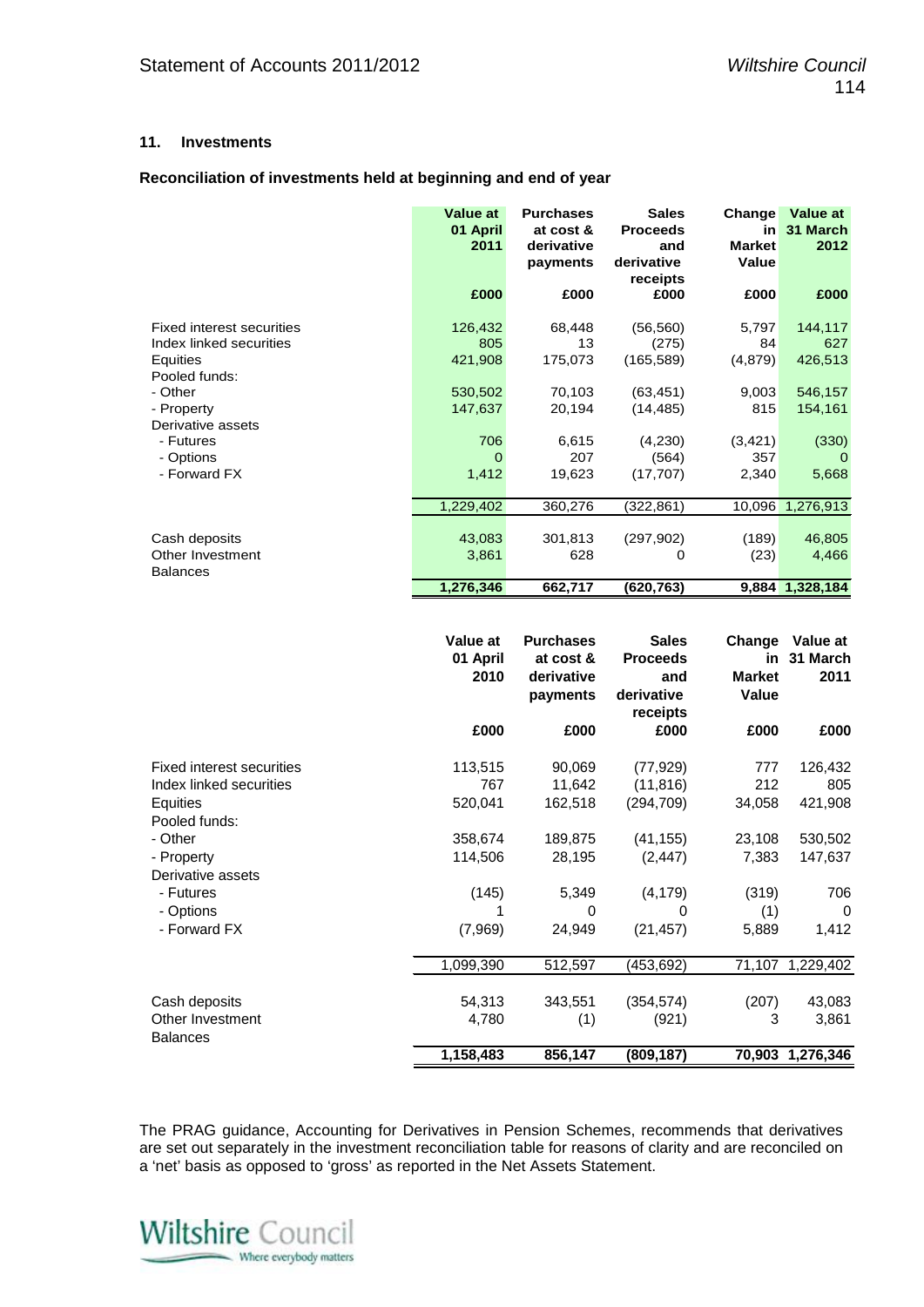#### **11. Investments**

#### **Reconciliation of investments held at beginning and end of year**

|                                                                                                                                                                                  | <b>Value at</b><br>01 April<br>2011                                  | <b>Purchases</b><br>at cost &<br>derivative<br>payments               | <b>Sales</b><br><b>Proceeds</b><br>and<br>derivative<br>receipts                            | Change<br>in<br><b>Market</b><br>Value                              | Value at<br>31 March<br>2012                                                  |
|----------------------------------------------------------------------------------------------------------------------------------------------------------------------------------|----------------------------------------------------------------------|-----------------------------------------------------------------------|---------------------------------------------------------------------------------------------|---------------------------------------------------------------------|-------------------------------------------------------------------------------|
|                                                                                                                                                                                  | £000                                                                 | £000                                                                  | £000                                                                                        | £000                                                                | £000                                                                          |
| <b>Fixed interest securities</b><br>Index linked securities<br>Equities<br>Pooled funds:<br>- Other<br>- Property<br>Derivative assets<br>- Futures<br>- Options<br>- Forward FX | 126,432<br>805<br>421,908<br>530,502<br>147,637<br>706<br>0<br>1,412 | 68,448<br>13<br>175,073<br>70,103<br>20,194<br>6,615<br>207<br>19,623 | (56, 560)<br>(275)<br>(165, 589)<br>(63, 451)<br>(14, 485)<br>(4,230)<br>(564)<br>(17, 707) | 5,797<br>84<br>(4, 879)<br>9,003<br>815<br>(3, 421)<br>357<br>2,340 | 144,117<br>627<br>426,513<br>546,157<br>154,161<br>(330)<br>$\Omega$<br>5,668 |
| Cash deposits<br>Other Investment<br><b>Balances</b>                                                                                                                             | 1,229,402<br>43,083<br>3,861<br>1,276,346                            | 360,276<br>301,813<br>628<br>662,717                                  | (322, 861)<br>(297, 902)<br>0<br>(620, 763)                                                 | 10,096<br>(189)<br>(23)                                             | 1,276,913<br>46,805<br>4,466<br>9,884 1,328,184                               |

|                                     | Value at<br>01 April<br>2010 | <b>Purchases</b><br>at cost &<br>derivative<br>payments | <b>Sales</b><br><b>Proceeds</b><br>and<br>derivative<br>receipts | Change<br>in<br><b>Market</b><br>Value | Value at<br>31 March<br>2011 |
|-------------------------------------|------------------------------|---------------------------------------------------------|------------------------------------------------------------------|----------------------------------------|------------------------------|
|                                     | £000                         | £000                                                    | £000                                                             | £000                                   | £000                         |
| Fixed interest securities           | 113,515                      | 90,069                                                  | (77, 929)                                                        | 777                                    | 126,432                      |
| Index linked securities             | 767                          | 11,642                                                  | (11, 816)                                                        | 212                                    | 805                          |
| Equities                            | 520,041                      | 162,518                                                 | (294, 709)                                                       | 34,058                                 | 421,908                      |
| Pooled funds:                       |                              |                                                         |                                                                  |                                        |                              |
| - Other                             | 358,674                      | 189,875                                                 | (41, 155)                                                        | 23,108                                 | 530,502                      |
| - Property                          | 114,506                      | 28,195                                                  | (2, 447)                                                         | 7,383                                  | 147,637                      |
| Derivative assets                   |                              |                                                         |                                                                  |                                        |                              |
| - Futures                           | (145)                        | 5,349                                                   | (4, 179)                                                         | (319)                                  | 706                          |
| - Options                           |                              | 0                                                       | 0                                                                | (1)                                    | 0                            |
| - Forward FX                        | (7,969)                      | 24,949                                                  | (21, 457)                                                        | 5,889                                  | 1,412                        |
|                                     | 1,099,390                    | 512,597                                                 | (453, 692)                                                       | 71,107                                 | 1,229,402                    |
| Cash deposits                       | 54,313                       | 343,551                                                 | (354, 574)                                                       | (207)                                  | 43,083                       |
| Other Investment<br><b>Balances</b> | 4,780                        | (1)                                                     | (921)                                                            | 3                                      | 3,861                        |
|                                     | 1,158,483                    | 856,147                                                 | (809, 187)                                                       |                                        | 70,903 1,276,346             |

The PRAG guidance, Accounting for Derivatives in Pension Schemes, recommends that derivatives are set out separately in the investment reconciliation table for reasons of clarity and are reconciled on a 'net' basis as opposed to 'gross' as reported in the Net Assets Statement.

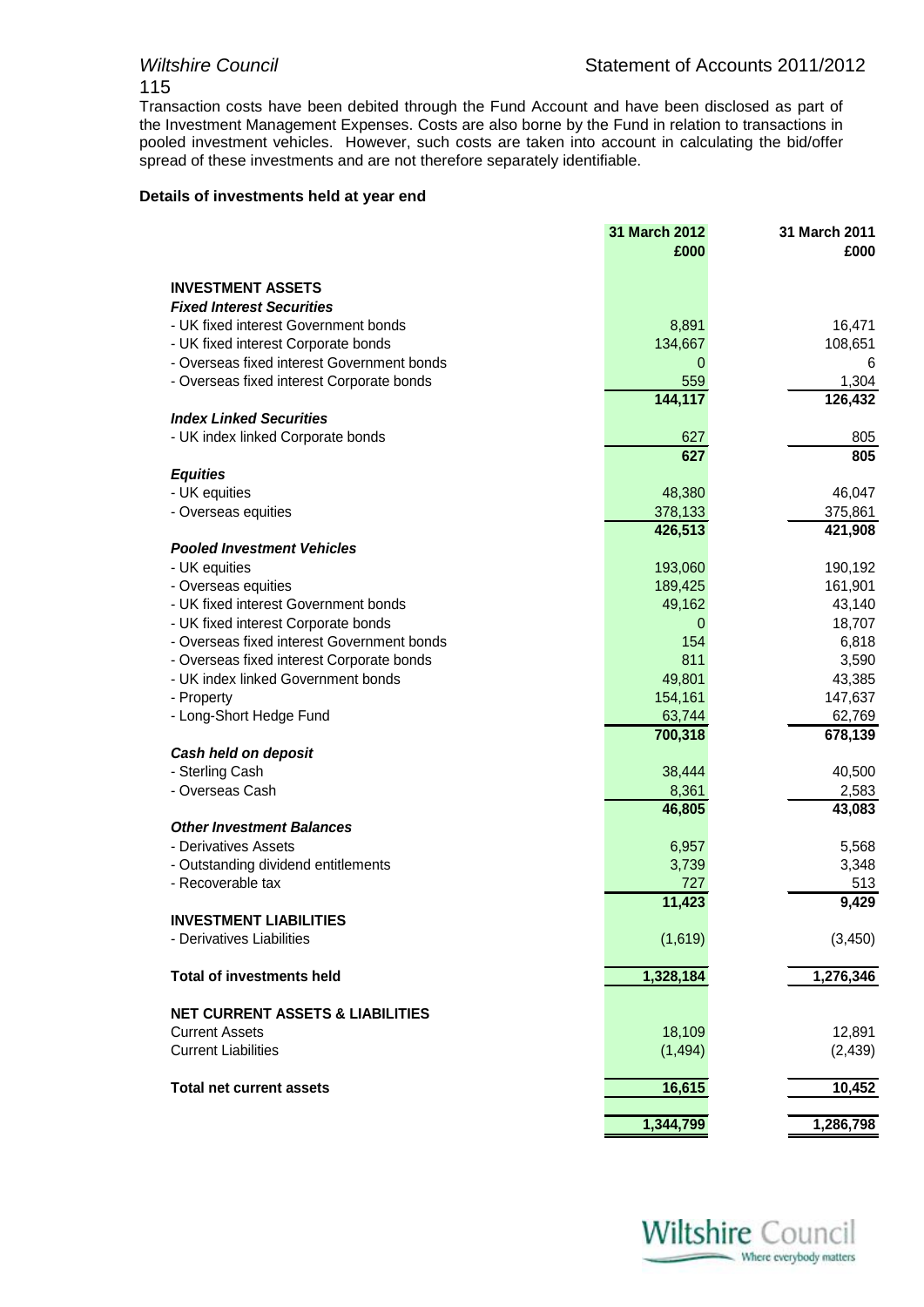# 115

Transaction costs have been debited through the Fund Account and have been disclosed as part of the Investment Management Expenses. Costs are also borne by the Fund in relation to transactions in pooled investment vehicles. However, such costs are taken into account in calculating the bid/offer spread of these investments and are not therefore separately identifiable.

#### **Details of investments held at year end**

|                                                          | 31 March 2012<br>£000 | 31 March 2011<br>£000 |
|----------------------------------------------------------|-----------------------|-----------------------|
|                                                          |                       |                       |
| <b>INVESTMENT ASSETS</b>                                 |                       |                       |
| <b>Fixed Interest Securities</b>                         |                       |                       |
| - UK fixed interest Government bonds                     | 8,891                 | 16,471                |
| - UK fixed interest Corporate bonds                      | 134,667               | 108,651               |
| - Overseas fixed interest Government bonds               | 0                     | 6                     |
| - Overseas fixed interest Corporate bonds                | 559                   | 1,304                 |
|                                                          | 144,117               | 126,432               |
| <b>Index Linked Securities</b>                           |                       |                       |
| - UK index linked Corporate bonds                        | 627                   | 805                   |
|                                                          | 627                   | 805                   |
| <b>Equities</b>                                          |                       |                       |
| - UK equities                                            | 48,380                | 46,047                |
| - Overseas equities                                      | 378,133               | 375,861               |
|                                                          | 426,513               | 421,908               |
| <b>Pooled Investment Vehicles</b>                        |                       |                       |
| - UK equities                                            | 193,060               | 190,192               |
| - Overseas equities                                      | 189,425               | 161,901               |
| - UK fixed interest Government bonds                     | 49,162                | 43,140                |
| - UK fixed interest Corporate bonds                      | 0                     | 18,707                |
| - Overseas fixed interest Government bonds               | 154                   | 6,818                 |
| - Overseas fixed interest Corporate bonds                | 811                   | 3,590                 |
| - UK index linked Government bonds                       | 49,801                | 43,385                |
| - Property                                               | 154,161               | 147,637               |
| - Long-Short Hedge Fund                                  | 63,744                | 62,769                |
|                                                          | 700,318               | 678,139               |
| Cash held on deposit                                     |                       |                       |
| - Sterling Cash                                          | 38,444                | 40,500                |
| - Overseas Cash                                          | 8,361                 | 2,583                 |
|                                                          | 46,805                | 43,083                |
| <b>Other Investment Balances</b>                         |                       |                       |
| - Derivatives Assets                                     | 6,957                 | 5,568                 |
| - Outstanding dividend entitlements<br>- Recoverable tax | 3,739<br>727          | 3,348                 |
|                                                          | 11,423                | 513<br>9,429          |
| <b>INVESTMENT LIABILITIES</b>                            |                       |                       |
| - Derivatives Liabilities                                | (1,619)               | (3, 450)              |
|                                                          |                       |                       |
| <b>Total of investments held</b>                         | 1,328,184             | 1,276,346             |
| <b>NET CURRENT ASSETS &amp; LIABILITIES</b>              |                       |                       |
| <b>Current Assets</b>                                    | 18,109                | 12,891                |
| <b>Current Liabilities</b>                               | (1, 494)              | (2, 439)              |
|                                                          |                       |                       |
| <b>Total net current assets</b>                          | 16,615                | 10,452                |
|                                                          |                       |                       |
|                                                          | 1,344,799             | 1,286,798             |

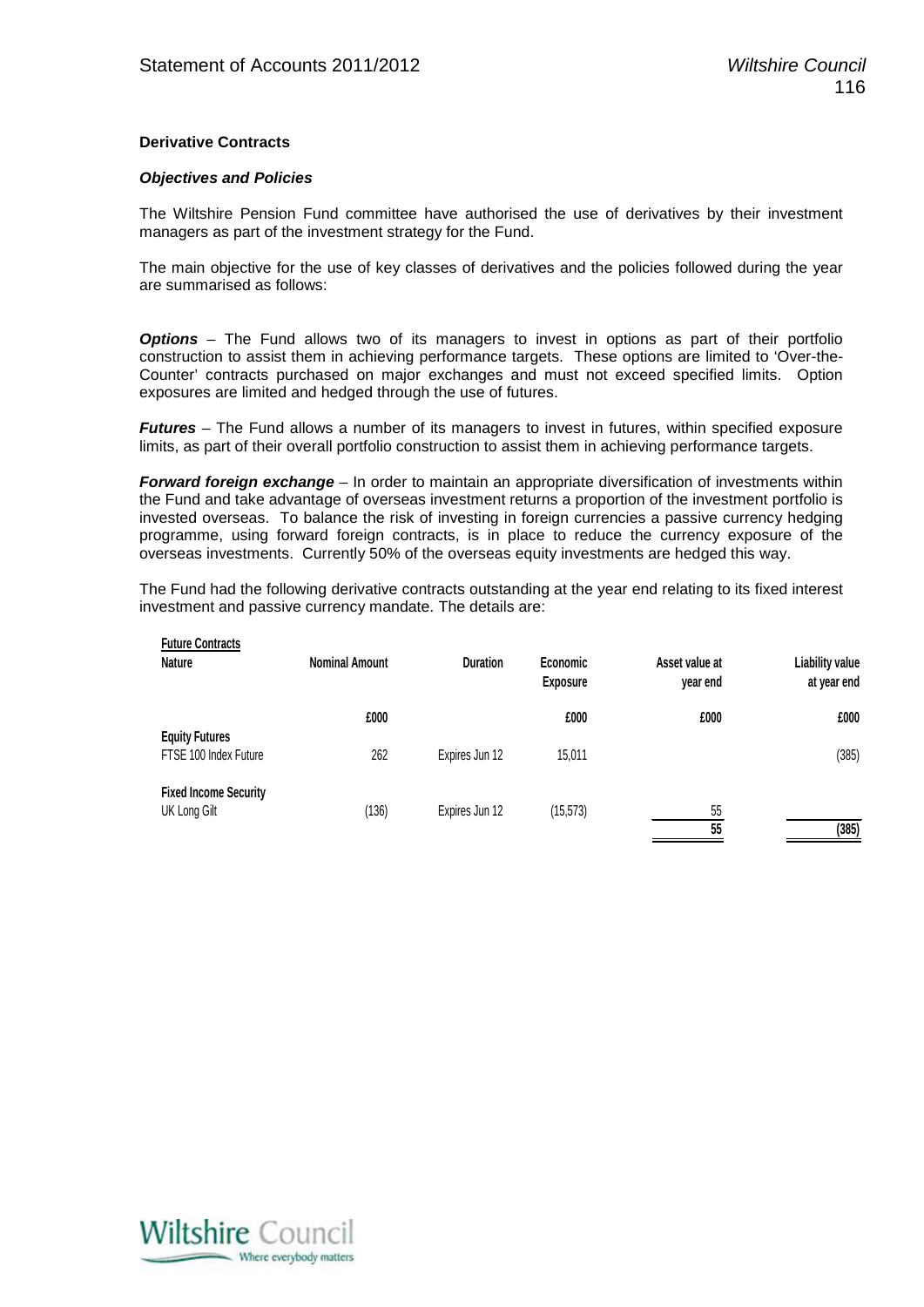#### **Derivative Contracts**

#### *Objectives and Policies*

The Wiltshire Pension Fund committee have authorised the use of derivatives by their investment managers as part of the investment strategy for the Fund.

The main objective for the use of key classes of derivatives and the policies followed during the year are summarised as follows:

*Options* – The Fund allows two of its managers to invest in options as part of their portfolio construction to assist them in achieving performance targets. These options are limited to 'Over-the-Counter' contracts purchased on major exchanges and must not exceed specified limits. Option exposures are limited and hedged through the use of futures.

*Futures* – The Fund allows a number of its managers to invest in futures, within specified exposure limits, as part of their overall portfolio construction to assist them in achieving performance targets.

*Forward foreign exchange* – In order to maintain an appropriate diversification of investments within the Fund and take advantage of overseas investment returns a proportion of the investment portfolio is invested overseas. To balance the risk of investing in foreign currencies a passive currency hedging programme, using forward foreign contracts, is in place to reduce the currency exposure of the overseas investments. Currently 50% of the overseas equity investments are hedged this way.

The Fund had the following derivative contracts outstanding at the year end relating to its fixed interest investment and passive currency mandate. The details are:

| <b>Nominal Amount</b> | <b>Duration</b> | Economic<br><b>Exposure</b> | Asset value at<br>year end | Liability value<br>at year end |
|-----------------------|-----------------|-----------------------------|----------------------------|--------------------------------|
| £000                  |                 | £000                        | £000                       | £000                           |
| 262                   | Expires Jun 12  | 15.011                      |                            | (385)                          |
| (136)                 | Expires Jun 12  | (15, 573)                   | 55                         | (385)                          |
|                       |                 |                             |                            | 55                             |

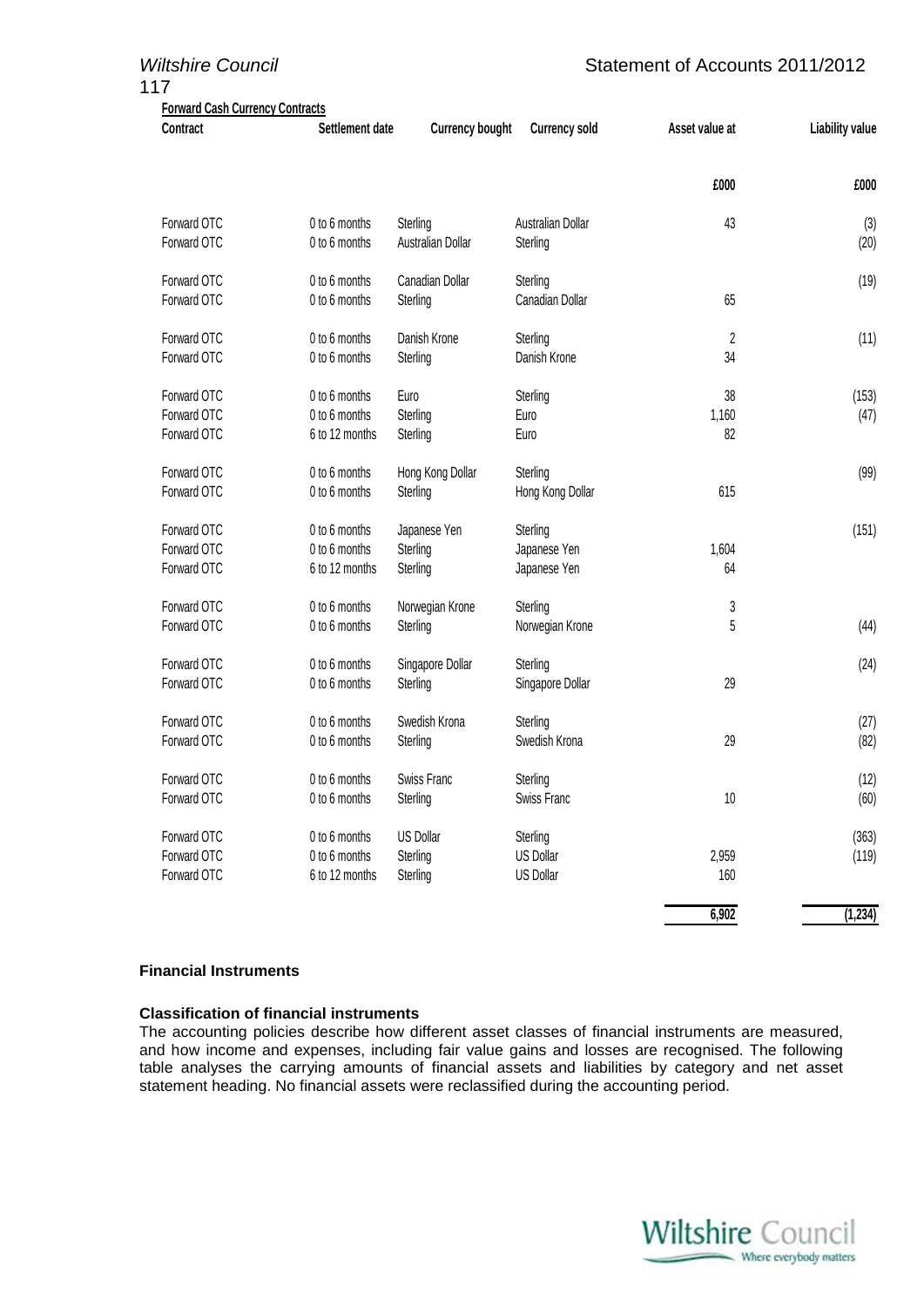| <b>Wiltshire Council</b><br>117                    | Statement of Accounts 2011/2012 |                        |                      |                |                        |
|----------------------------------------------------|---------------------------------|------------------------|----------------------|----------------|------------------------|
| <b>Forward Cash Currency Contracts</b><br>Contract | Settlement date                 | <b>Currency bought</b> | <b>Currency sold</b> | Asset value at | <b>Liability value</b> |
|                                                    |                                 |                        |                      | £000           | £000                   |
| Forward OTC                                        | 0 to 6 months                   | Sterling               | Australian Dollar    | 43             | (3)                    |
| Forward OTC                                        | 0 to 6 months                   | Australian Dollar      | Sterling             |                | (20)                   |
| Forward OTC                                        | 0 to 6 months                   | Canadian Dollar        | Sterling             |                | (19)                   |
| Forward OTC                                        | 0 to 6 months                   | Sterling               | Canadian Dollar      | 65             |                        |
| Forward OTC                                        | 0 to 6 months                   | Danish Krone           | Sterling             | 2              | (11)                   |
| Forward OTC                                        | 0 to 6 months                   | Sterling               | Danish Krone         | 34             |                        |
| Forward OTC                                        | 0 to 6 months                   | Euro                   | Sterling             | 38             | (153)                  |
| Forward OTC                                        | 0 to 6 months                   | Sterling               | Euro                 | 1,160          | (47)                   |
| Forward OTC                                        | 6 to 12 months                  | Sterling               | Euro                 | 82             |                        |
| Forward OTC                                        | 0 to 6 months                   | Hong Kong Dollar       | Sterling             |                | (99)                   |
| Forward OTC                                        | 0 to 6 months                   | Sterling               | Hong Kong Dollar     | 615            |                        |
| Forward OTC                                        | 0 to 6 months                   | Japanese Yen           | Sterling             |                | (151)                  |
| Forward OTC                                        | 0 to 6 months                   | Sterling               | Japanese Yen         | 1,604          |                        |
| Forward OTC                                        | 6 to 12 months                  | Sterling               | Japanese Yen         | 64             |                        |
| Forward OTC                                        | 0 to 6 months                   | Norwegian Krone        | Sterling             | 3              |                        |
| Forward OTC                                        | 0 to 6 months                   | Sterling               | Norwegian Krone      | 5              | (44)                   |
| Forward OTC                                        | 0 to 6 months                   | Singapore Dollar       | Sterling             |                | (24)                   |
| Forward OTC                                        | 0 to 6 months                   | Sterling               | Singapore Dollar     | 29             |                        |
| Forward OTC                                        | 0 to 6 months                   | Swedish Krona          | Sterling             |                | (27)                   |
| Forward OTC                                        | 0 to 6 months                   | Sterling               | Swedish Krona        | 29             | (82)                   |
| Forward OTC                                        | 0 to 6 months                   | Swiss Franc            | Sterling             |                | (12)                   |
| Forward OTC                                        | 0 to 6 months                   | Sterling               | Swiss Franc          | $10$           | (60)                   |
| Forward OTC                                        | 0 to 6 months                   | <b>US Dollar</b>       | Sterling             |                | (363)                  |
| Forward OTC                                        | 0 to 6 months                   | Sterling               | <b>US Dollar</b>     | 2,959          | (119)                  |
| Forward OTC                                        | 6 to 12 months                  | Sterling               | <b>US Dollar</b>     | 160            |                        |
|                                                    |                                 |                        |                      | 6,902          | (1, 234)               |

#### **Financial Instruments**

#### **Classification of financial instruments**

The accounting policies describe how different asset classes of financial instruments are measured, and how income and expenses, including fair value gains and losses are recognised. The following table analyses the carrying amounts of financial assets and liabilities by category and net asset statement heading. No financial assets were reclassified during the accounting period.

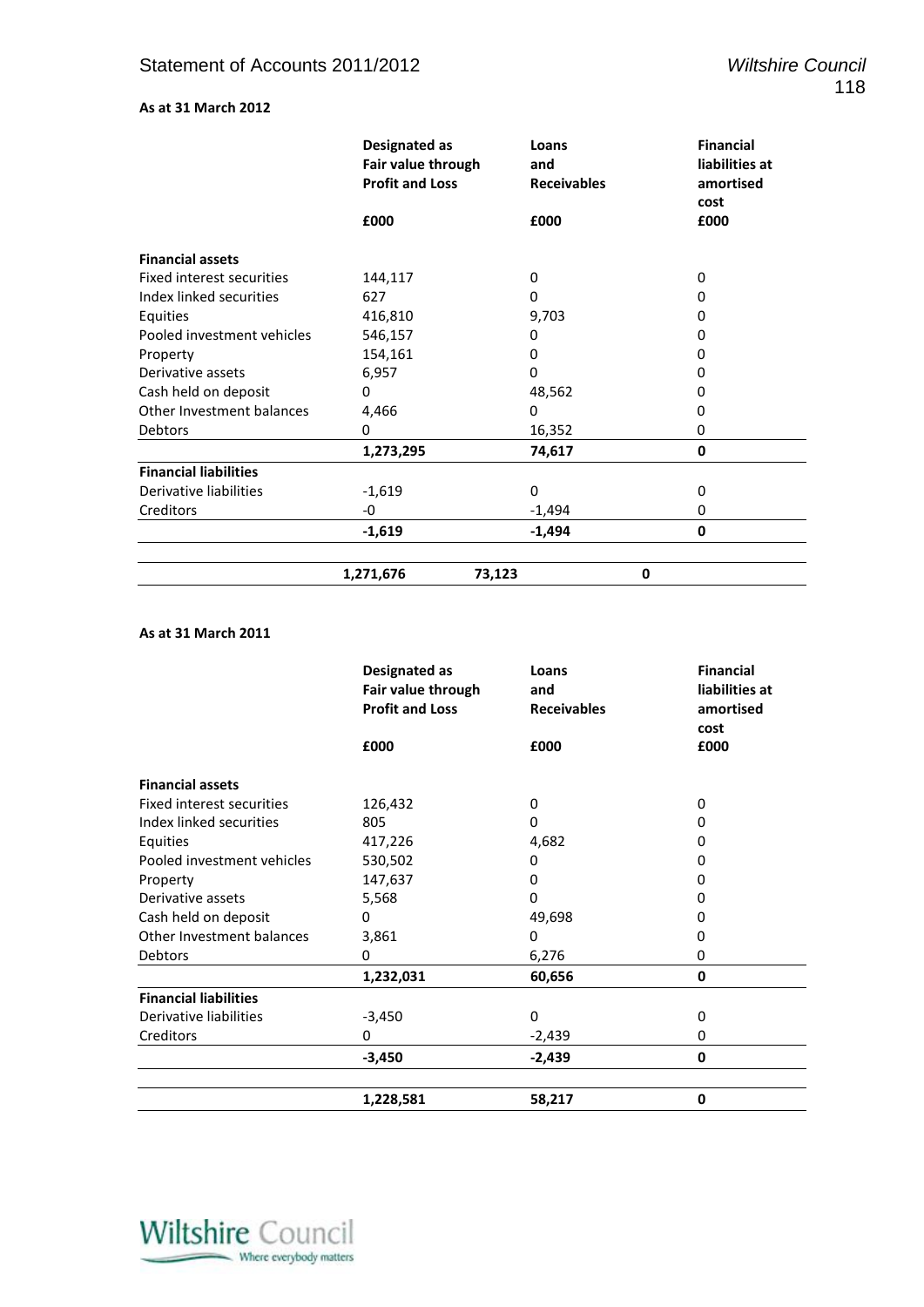### **As at 31 March 2012**

|                              | Designated as<br>Fair value through | Loans<br>and       | <b>Financial</b><br>liabilities at |
|------------------------------|-------------------------------------|--------------------|------------------------------------|
|                              | <b>Profit and Loss</b>              | <b>Receivables</b> | amortised<br>cost                  |
|                              | £000                                | £000               | £000                               |
| <b>Financial assets</b>      |                                     |                    |                                    |
| Fixed interest securities    | 144,117                             | 0                  | 0                                  |
| Index linked securities      | 627                                 | 0                  | 0                                  |
| Equities                     | 416,810                             | 9,703              | 0                                  |
| Pooled investment vehicles   | 546,157                             | 0                  | 0                                  |
| Property                     | 154,161                             | 0                  | 0                                  |
| Derivative assets            | 6,957                               | $\Omega$           | 0                                  |
| Cash held on deposit         | 0                                   | 48,562             | 0                                  |
| Other Investment balances    | 4,466                               | 0                  | 0                                  |
| <b>Debtors</b>               | $\Omega$                            | 16,352             | 0                                  |
|                              | 1,273,295                           | 74,617             | 0                                  |
| <b>Financial liabilities</b> |                                     |                    |                                    |
| Derivative liabilities       | $-1,619$                            | $\Omega$           | $\Omega$                           |
| Creditors                    | -0                                  | $-1,494$           | 0                                  |
|                              | $-1,619$                            | $-1,494$           | 0                                  |
|                              | 1,271,676                           | 73,123             | 0                                  |

#### **As at 31 March 2011**

|                              | Designated as<br>Fair value through | Loans<br>and       | <b>Financial</b><br>liabilities at |
|------------------------------|-------------------------------------|--------------------|------------------------------------|
|                              | <b>Profit and Loss</b>              | <b>Receivables</b> | amortised                          |
|                              |                                     |                    | cost                               |
|                              | £000                                | £000               | £000                               |
| <b>Financial assets</b>      |                                     |                    |                                    |
| Fixed interest securities    | 126,432                             | 0                  | 0                                  |
| Index linked securities      | 805                                 | $\Omega$           | 0                                  |
| Equities                     | 417,226                             | 4,682              | 0                                  |
| Pooled investment vehicles   | 530,502                             | 0                  | O                                  |
| Property                     | 147,637                             | 0                  | 0                                  |
| Derivative assets            | 5,568                               | 0                  | 0                                  |
| Cash held on deposit         | 0                                   | 49,698             | 0                                  |
| Other Investment balances    | 3,861                               | 0                  | 0                                  |
| <b>Debtors</b>               | 0                                   | 6,276              | 0                                  |
|                              | 1,232,031                           | 60,656             | 0                                  |
| <b>Financial liabilities</b> |                                     |                    |                                    |
| Derivative liabilities       | $-3,450$                            | 0                  | 0                                  |
| Creditors                    | 0                                   | $-2,439$           | 0                                  |
|                              | $-3,450$                            | $-2,439$           | 0                                  |
|                              | 1,228,581                           | 58,217             | 0                                  |

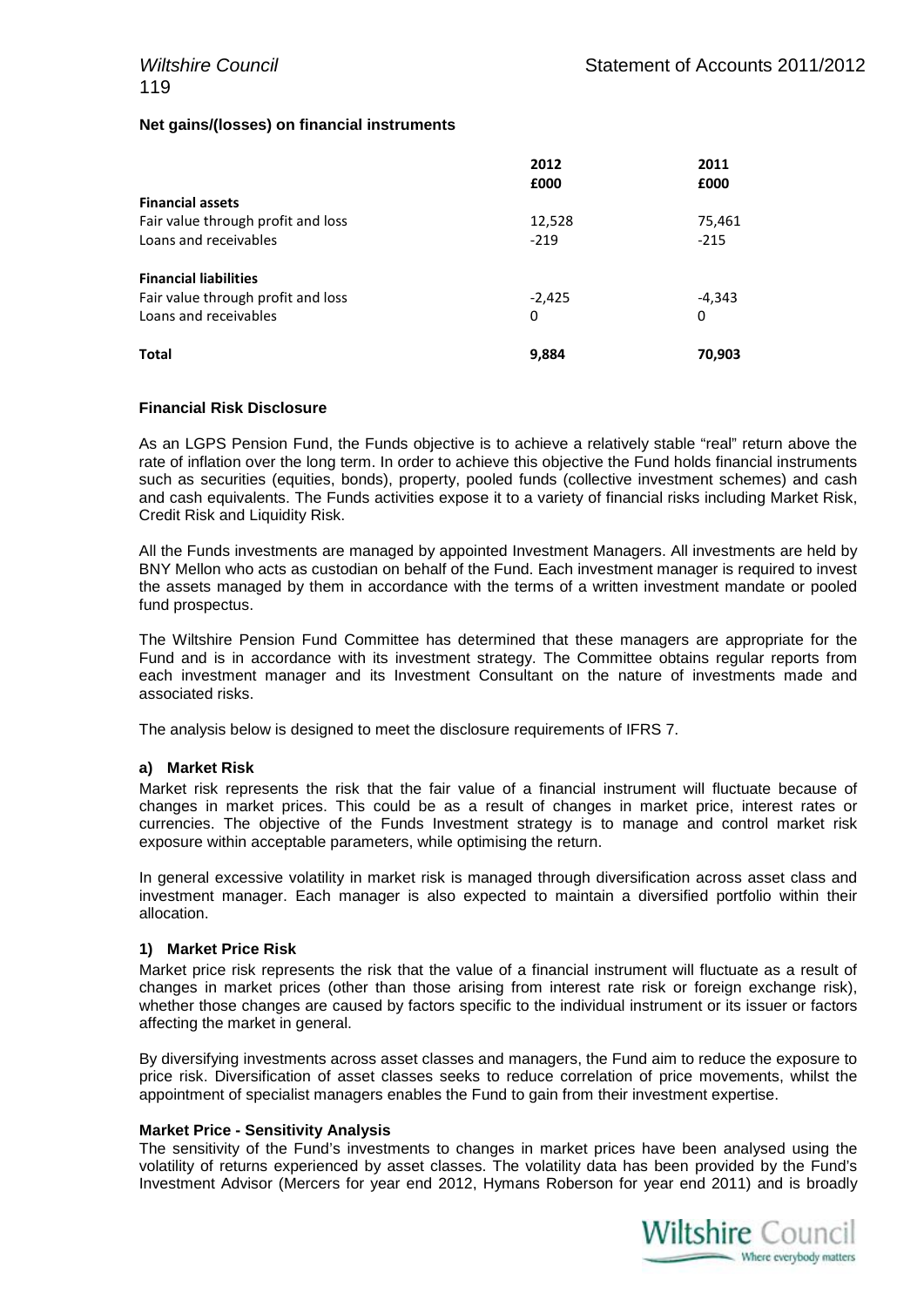#### **Net gains/(losses) on financial instruments**

|                                    | 2012     | 2011     |
|------------------------------------|----------|----------|
|                                    | £000     | £000     |
| <b>Financial assets</b>            |          |          |
| Fair value through profit and loss | 12,528   | 75,461   |
| Loans and receivables              | $-219$   | $-215$   |
| <b>Financial liabilities</b>       |          |          |
| Fair value through profit and loss | $-2,425$ | $-4,343$ |
| Loans and receivables              | 0        | 0        |
| Total                              | 9,884    | 70,903   |

#### **Financial Risk Disclosure**

As an LGPS Pension Fund, the Funds objective is to achieve a relatively stable "real" return above the rate of inflation over the long term. In order to achieve this objective the Fund holds financial instruments such as securities (equities, bonds), property, pooled funds (collective investment schemes) and cash and cash equivalents. The Funds activities expose it to a variety of financial risks including Market Risk, Credit Risk and Liquidity Risk.

All the Funds investments are managed by appointed Investment Managers. All investments are held by BNY Mellon who acts as custodian on behalf of the Fund. Each investment manager is required to invest the assets managed by them in accordance with the terms of a written investment mandate or pooled fund prospectus.

The Wiltshire Pension Fund Committee has determined that these managers are appropriate for the Fund and is in accordance with its investment strategy. The Committee obtains regular reports from each investment manager and its Investment Consultant on the nature of investments made and associated risks.

The analysis below is designed to meet the disclosure requirements of IFRS 7.

#### **a) Market Risk**

Market risk represents the risk that the fair value of a financial instrument will fluctuate because of changes in market prices. This could be as a result of changes in market price, interest rates or currencies. The objective of the Funds Investment strategy is to manage and control market risk exposure within acceptable parameters, while optimising the return.

In general excessive volatility in market risk is managed through diversification across asset class and investment manager. Each manager is also expected to maintain a diversified portfolio within their allocation.

#### **1) Market Price Risk**

Market price risk represents the risk that the value of a financial instrument will fluctuate as a result of changes in market prices (other than those arising from interest rate risk or foreign exchange risk), whether those changes are caused by factors specific to the individual instrument or its issuer or factors affecting the market in general.

By diversifying investments across asset classes and managers, the Fund aim to reduce the exposure to price risk. Diversification of asset classes seeks to reduce correlation of price movements, whilst the appointment of specialist managers enables the Fund to gain from their investment expertise.

#### **Market Price - Sensitivity Analysis**

The sensitivity of the Fund's investments to changes in market prices have been analysed using the volatility of returns experienced by asset classes. The volatility data has been provided by the Fund's Investment Advisor (Mercers for year end 2012, Hymans Roberson for year end 2011) and is broadly

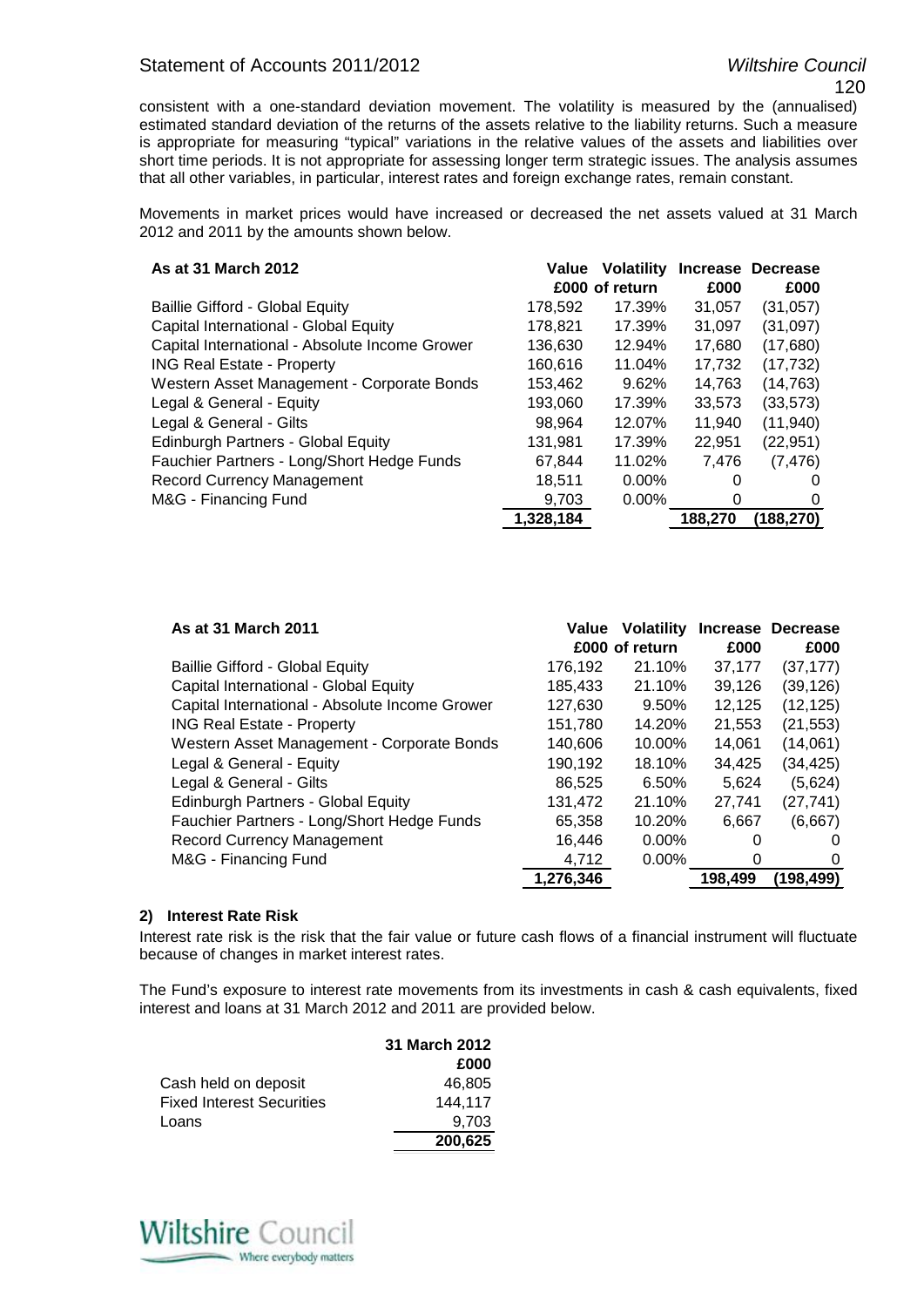### Statement of Accounts 2011/2012 *Wiltshire Council*

consistent with a one-standard deviation movement. The volatility is measured by the (annualised) estimated standard deviation of the returns of the assets relative to the liability returns. Such a measure is appropriate for measuring "typical" variations in the relative values of the assets and liabilities over short time periods. It is not appropriate for assessing longer term strategic issues. The analysis assumes that all other variables, in particular, interest rates and foreign exchange rates, remain constant.

Movements in market prices would have increased or decreased the net assets valued at 31 March 2012 and 2011 by the amounts shown below.

| As at 31 March 2012                            | Value     | <b>Volatility</b> |          | Increase Decrease |
|------------------------------------------------|-----------|-------------------|----------|-------------------|
|                                                |           | £000 of return    | £000     | £000              |
| <b>Baillie Gifford - Global Equity</b>         | 178,592   | 17.39%            | 31,057   | (31, 057)         |
| Capital International - Global Equity          | 178.821   | 17.39%            | 31,097   | (31,097)          |
| Capital International - Absolute Income Grower | 136,630   | 12.94%            | 17.680   | (17,680)          |
| <b>ING Real Estate - Property</b>              | 160,616   | 11.04%            | 17,732   | (17, 732)         |
| Western Asset Management - Corporate Bonds     | 153,462   | 9.62%             | 14,763   | (14, 763)         |
| Legal & General - Equity                       | 193,060   | 17.39%            | 33,573   | (33, 573)         |
| Legal & General - Gilts                        | 98.964    | 12.07%            | 11.940   | (11, 940)         |
| Edinburgh Partners - Global Equity             | 131,981   | 17.39%            | 22,951   | (22, 951)         |
| Fauchier Partners - Long/Short Hedge Funds     | 67,844    | 11.02%            | 7.476    | (7, 476)          |
| <b>Record Currency Management</b>              | 18,511    | 0.00%             | $\Omega$ | $\theta$          |
| M&G - Financing Fund                           | 9,703     | 0.00%             | 0        | 0                 |
|                                                | 1,328,184 |                   | 188,270  | (188.270)         |

| As at 31 March 2011                            | Value     | <b>Volatility</b><br>£000 of return | <b>Increase</b><br>£000 | <b>Decrease</b><br>£000 |
|------------------------------------------------|-----------|-------------------------------------|-------------------------|-------------------------|
| <b>Baillie Gifford - Global Equity</b>         | 176,192   | 21.10%                              | 37,177                  | (37, 177)               |
| Capital International - Global Equity          | 185,433   | 21.10%                              | 39,126                  | (39, 126)               |
| Capital International - Absolute Income Grower | 127,630   | 9.50%                               | 12,125                  | (12, 125)               |
| <b>ING Real Estate - Property</b>              | 151,780   | 14.20%                              | 21,553                  | (21, 553)               |
| Western Asset Management - Corporate Bonds     | 140.606   | 10.00%                              | 14.061                  | (14,061)                |
| Legal & General - Equity                       | 190,192   | 18.10%                              | 34.425                  | (34, 425)               |
| Legal & General - Gilts                        | 86.525    | 6.50%                               | 5.624                   | (5,624)                 |
| <b>Edinburgh Partners - Global Equity</b>      | 131,472   | 21.10%                              | 27,741                  | (27, 741)               |
| Fauchier Partners - Long/Short Hedge Funds     | 65,358    | 10.20%                              | 6,667                   | (6,667)                 |
| <b>Record Currency Management</b>              | 16,446    | $0.00\%$                            | O                       | $\mathbf{\Omega}$       |
| M&G - Financing Fund                           | 4,712     | $0.00\%$                            | O                       | $\Omega$                |
|                                                | 1,276,346 |                                     | 198,499                 | (198,499)               |

#### **2) Interest Rate Risk**

Interest rate risk is the risk that the fair value or future cash flows of a financial instrument will fluctuate because of changes in market interest rates.

The Fund's exposure to interest rate movements from its investments in cash & cash equivalents, fixed interest and loans at 31 March 2012 and 2011 are provided below.

|                                  | 31 March 2012 |
|----------------------------------|---------------|
|                                  | £000          |
| Cash held on deposit             | 46.805        |
| <b>Fixed Interest Securities</b> | 144.117       |
| Loans                            | 9.703         |
|                                  | 200,625       |

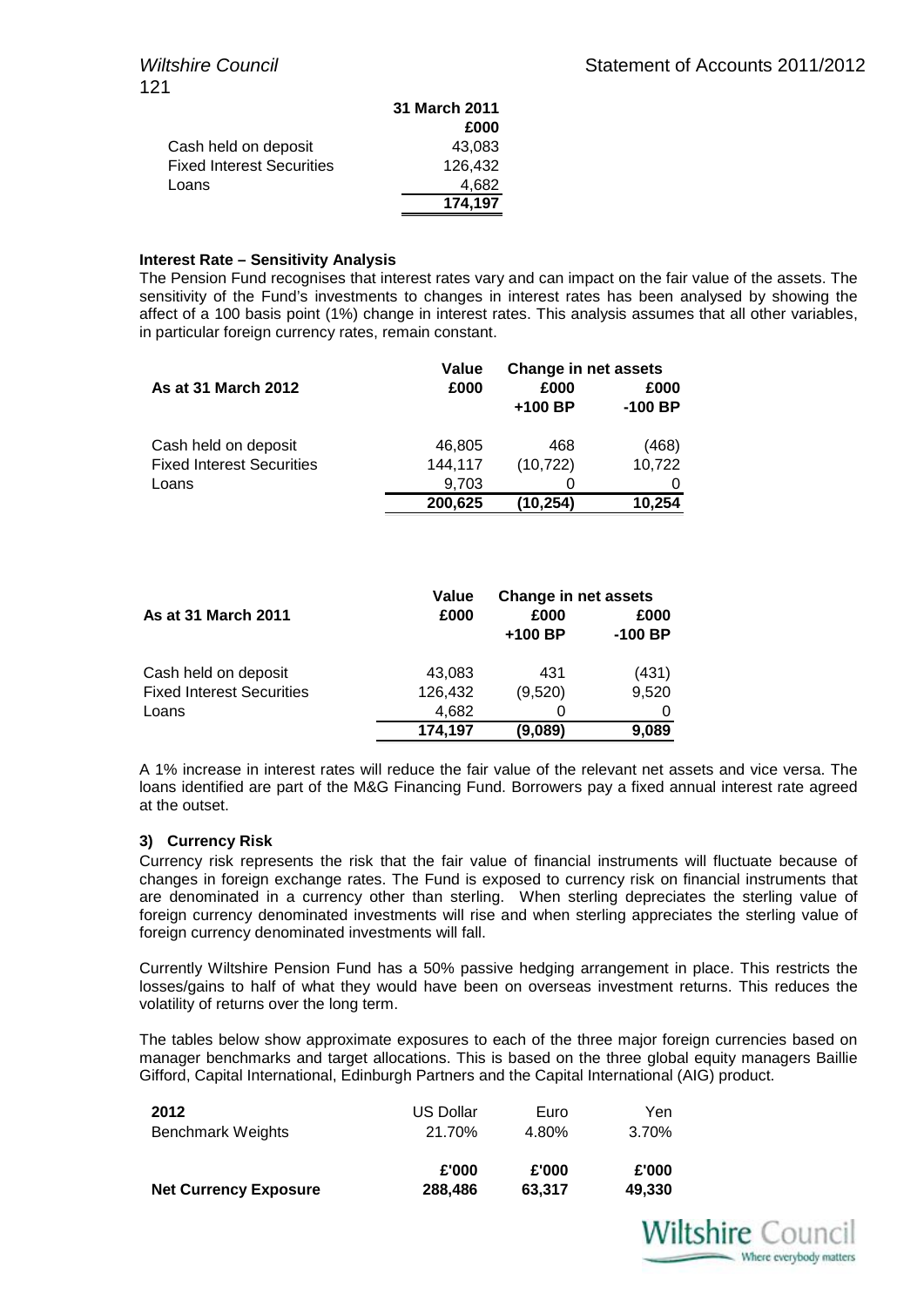|                                  | 31 March 2011 |
|----------------------------------|---------------|
|                                  | £000          |
| Cash held on deposit             | 43.083        |
| <b>Fixed Interest Securities</b> | 126.432       |
| Loans                            | 4.682         |
|                                  | 174,197       |

#### **Interest Rate – Sensitivity Analysis**

The Pension Fund recognises that interest rates vary and can impact on the fair value of the assets. The sensitivity of the Fund's investments to changes in interest rates has been analysed by showing the affect of a 100 basis point (1%) change in interest rates. This analysis assumes that all other variables, in particular foreign currency rates, remain constant.

|                                  | Value   | Change in net assets |           |
|----------------------------------|---------|----------------------|-----------|
| As at 31 March 2012              | £000    | £000                 | £000      |
|                                  |         | $+100$ BP            | $-100$ BP |
| Cash held on deposit             | 46,805  | 468                  | (468)     |
| <b>Fixed Interest Securities</b> | 144,117 | (10, 722)            | 10,722    |
| Loans                            | 9,703   |                      |           |
|                                  | 200,625 | (10.254)             | 10,254    |

|                                  | Value   | <b>Change in net assets</b> |           |
|----------------------------------|---------|-----------------------------|-----------|
| <b>As at 31 March 2011</b>       | £000    | £000                        | £000      |
|                                  |         | $+100$ BP                   | $-100$ BP |
| Cash held on deposit             | 43,083  | 431                         | (431)     |
| <b>Fixed Interest Securities</b> | 126,432 | (9,520)                     | 9,520     |
| Loans                            | 4.682   | O                           |           |
|                                  | 174,197 | (9,089)                     | 9.089     |

A 1% increase in interest rates will reduce the fair value of the relevant net assets and vice versa. The loans identified are part of the M&G Financing Fund. Borrowers pay a fixed annual interest rate agreed at the outset.

#### **3) Currency Risk**

Currency risk represents the risk that the fair value of financial instruments will fluctuate because of changes in foreign exchange rates. The Fund is exposed to currency risk on financial instruments that are denominated in a currency other than sterling. When sterling depreciates the sterling value of foreign currency denominated investments will rise and when sterling appreciates the sterling value of foreign currency denominated investments will fall.

Currently Wiltshire Pension Fund has a 50% passive hedging arrangement in place. This restricts the losses/gains to half of what they would have been on overseas investment returns. This reduces the volatility of returns over the long term.

The tables below show approximate exposures to each of the three major foreign currencies based on manager benchmarks and target allocations. This is based on the three global equity managers Baillie Gifford, Capital International, Edinburgh Partners and the Capital International (AIG) product.

| 2012                         | <b>US Dollar</b> | Euro   | Yen    |
|------------------------------|------------------|--------|--------|
| <b>Benchmark Weights</b>     | 21.70%           | 4.80%  | 3.70%  |
|                              | £'000            | £'000  | £'000  |
| <b>Net Currency Exposure</b> | 288,486          | 63.317 | 49,330 |

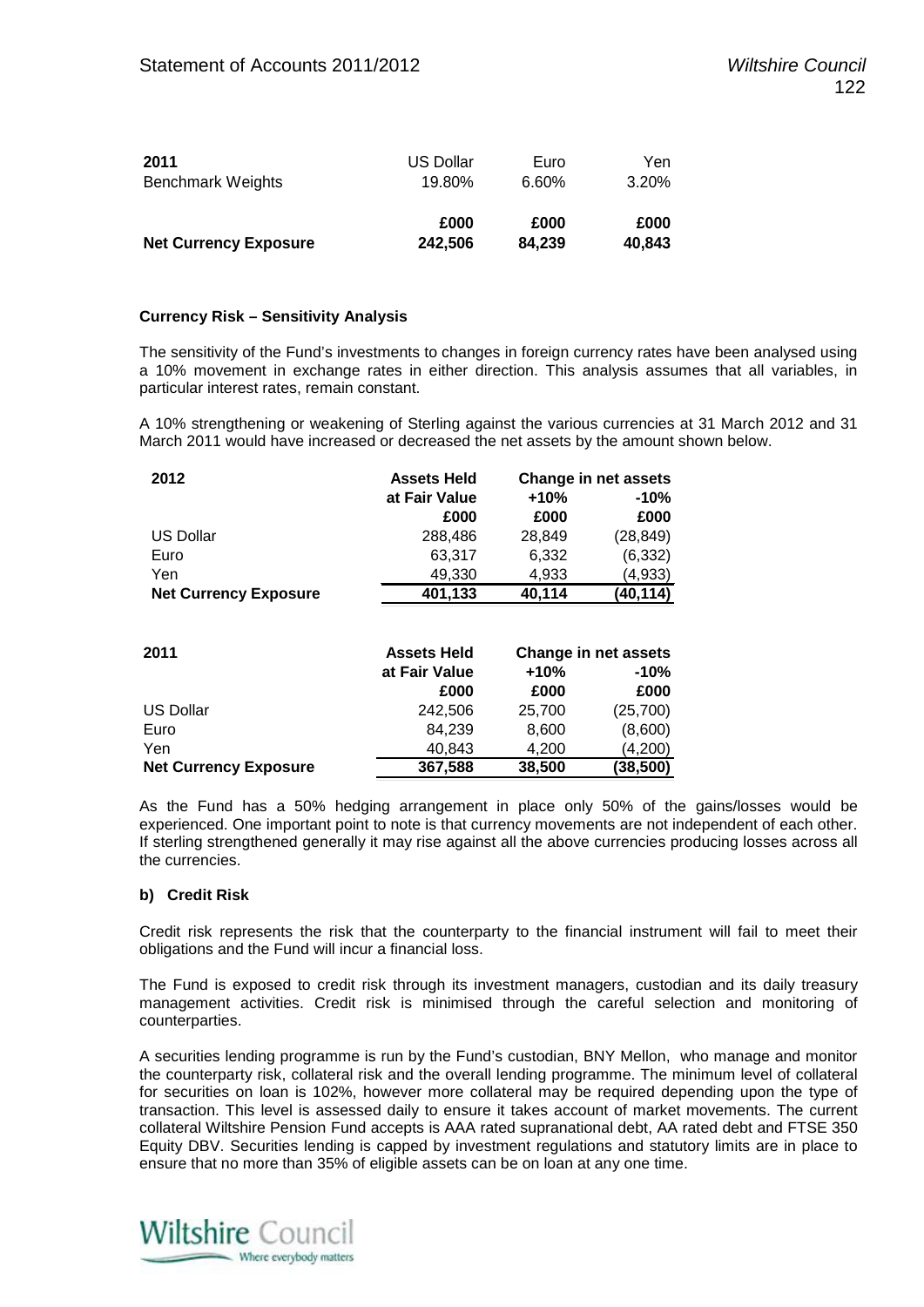| 2011                         | <b>US Dollar</b> | Euro   | Yen    |  |
|------------------------------|------------------|--------|--------|--|
| <b>Benchmark Weights</b>     | 19.80%           | 6.60%  | 3.20%  |  |
| <b>Net Currency Exposure</b> | £000             | £000   | £000   |  |
|                              | 242,506          | 84.239 | 40,843 |  |

#### **Currency Risk – Sensitivity Analysis**

The sensitivity of the Fund's investments to changes in foreign currency rates have been analysed using a 10% movement in exchange rates in either direction. This analysis assumes that all variables, in particular interest rates, remain constant.

A 10% strengthening or weakening of Sterling against the various currencies at 31 March 2012 and 31 March 2011 would have increased or decreased the net assets by the amount shown below.

| 2012                         | <b>Assets Held</b> | <b>Change in net assets</b> |           |
|------------------------------|--------------------|-----------------------------|-----------|
|                              | at Fair Value      | $+10%$<br>$-10%$            |           |
|                              | £000               | £000                        | £000      |
| <b>US Dollar</b>             | 288.486            | 28.849                      | (28,849)  |
| Euro                         | 63.317             | 6,332                       | (6, 332)  |
| Yen                          | 49.330             | 4.933                       | (4,933)   |
| <b>Net Currency Exposure</b> | 401,133            | 40,114                      | (40, 114) |

| 2011                         | <b>Assets Held</b> | <b>Change in net assets</b> |           |
|------------------------------|--------------------|-----------------------------|-----------|
|                              | at Fair Value      | $+10%$<br>-10%              |           |
|                              | £000               | £000                        | £000      |
| US Dollar                    | 242,506            | 25,700                      | (25, 700) |
| Euro                         | 84.239             | 8,600                       | (8,600)   |
| Yen                          | 40.843             | 4,200                       | (4,200)   |
| <b>Net Currency Exposure</b> | 367,588            | 38,500                      | (38, 500) |

As the Fund has a 50% hedging arrangement in place only 50% of the gains/losses would be experienced. One important point to note is that currency movements are not independent of each other. If sterling strengthened generally it may rise against all the above currencies producing losses across all the currencies.

#### **b) Credit Risk**

Credit risk represents the risk that the counterparty to the financial instrument will fail to meet their obligations and the Fund will incur a financial loss.

The Fund is exposed to credit risk through its investment managers, custodian and its daily treasury management activities. Credit risk is minimised through the careful selection and monitoring of counterparties.

A securities lending programme is run by the Fund's custodian, BNY Mellon, who manage and monitor the counterparty risk, collateral risk and the overall lending programme. The minimum level of collateral for securities on loan is 102%, however more collateral may be required depending upon the type of transaction. This level is assessed daily to ensure it takes account of market movements. The current collateral Wiltshire Pension Fund accepts is AAA rated supranational debt, AA rated debt and FTSE 350 Equity DBV. Securities lending is capped by investment regulations and statutory limits are in place to ensure that no more than 35% of eligible assets can be on loan at any one time.

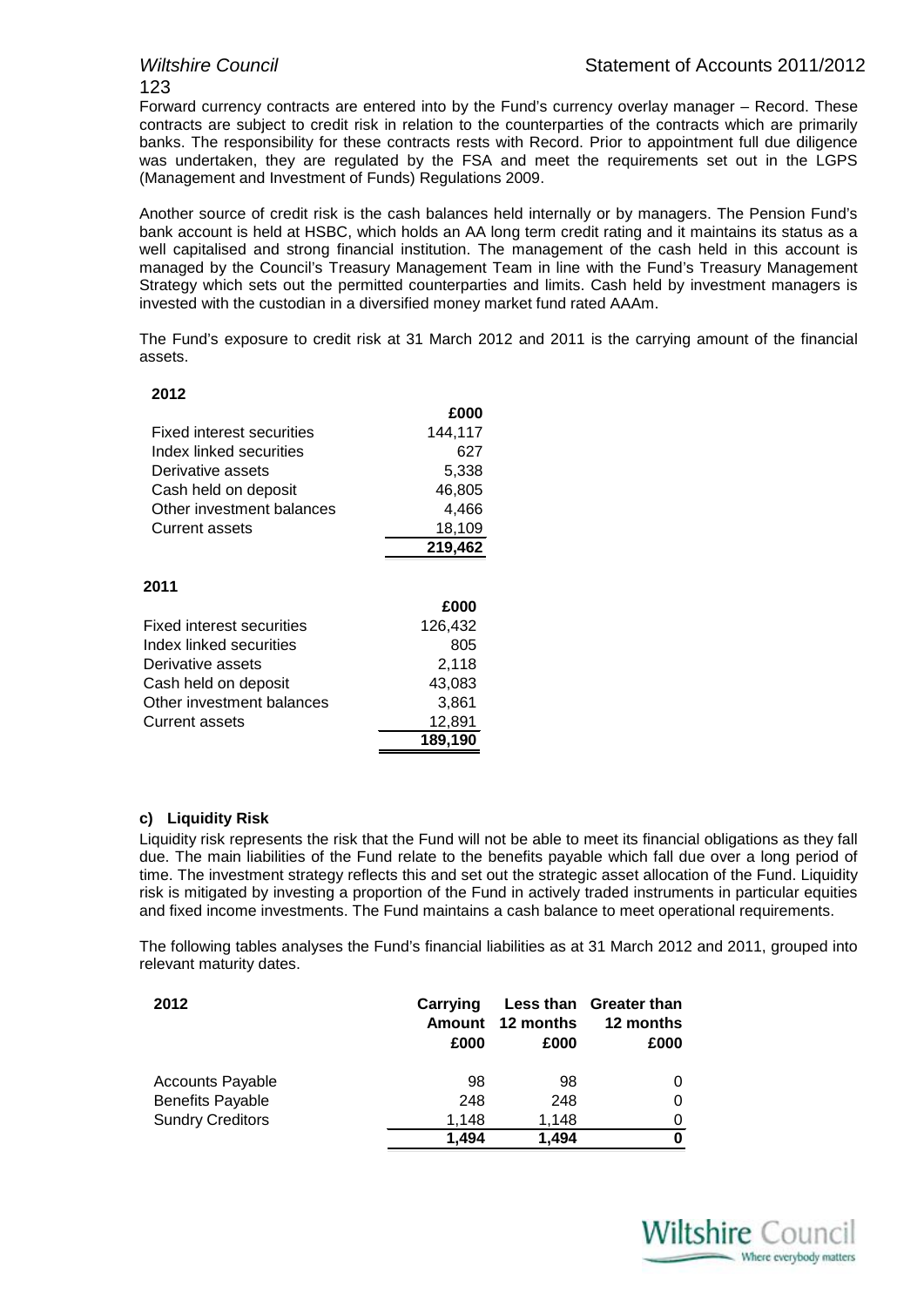# 123

Forward currency contracts are entered into by the Fund's currency overlay manager – Record. These contracts are subject to credit risk in relation to the counterparties of the contracts which are primarily banks. The responsibility for these contracts rests with Record. Prior to appointment full due diligence was undertaken, they are regulated by the FSA and meet the requirements set out in the LGPS (Management and Investment of Funds) Regulations 2009.

Another source of credit risk is the cash balances held internally or by managers. The Pension Fund's bank account is held at HSBC, which holds an AA long term credit rating and it maintains its status as a well capitalised and strong financial institution. The management of the cash held in this account is managed by the Council's Treasury Management Team in line with the Fund's Treasury Management Strategy which sets out the permitted counterparties and limits. Cash held by investment managers is invested with the custodian in a diversified money market fund rated AAAm.

The Fund's exposure to credit risk at 31 March 2012 and 2011 is the carrying amount of the financial assets.

| £000    |
|---------|
| 144,117 |
| 627     |
| 5,338   |
| 46,805  |
| 4,466   |
| 18,109  |
| 219,462 |
|         |
| £000    |
| 126,432 |
| 805     |
| 2,118   |
| 43,083  |
| 3,861   |
| 12,891  |
| 189,190 |
|         |

#### **c) Liquidity Risk**

Liquidity risk represents the risk that the Fund will not be able to meet its financial obligations as they fall due. The main liabilities of the Fund relate to the benefits payable which fall due over a long period of time. The investment strategy reflects this and set out the strategic asset allocation of the Fund. Liquidity risk is mitigated by investing a proportion of the Fund in actively traded instruments in particular equities and fixed income investments. The Fund maintains a cash balance to meet operational requirements.

The following tables analyses the Fund's financial liabilities as at 31 March 2012 and 2011, grouped into relevant maturity dates.

| 2012                    | Carrying<br>Amount<br>£000 | 12 months<br>£000 | Less than Greater than<br>12 months<br>£000 |
|-------------------------|----------------------------|-------------------|---------------------------------------------|
| <b>Accounts Payable</b> | 98                         | 98                |                                             |
| <b>Benefits Payable</b> | 248                        | 248               | 0                                           |
| <b>Sundry Creditors</b> | 1,148                      | 1.148             | 0                                           |
|                         | 1.494                      | 1.494             | 0                                           |

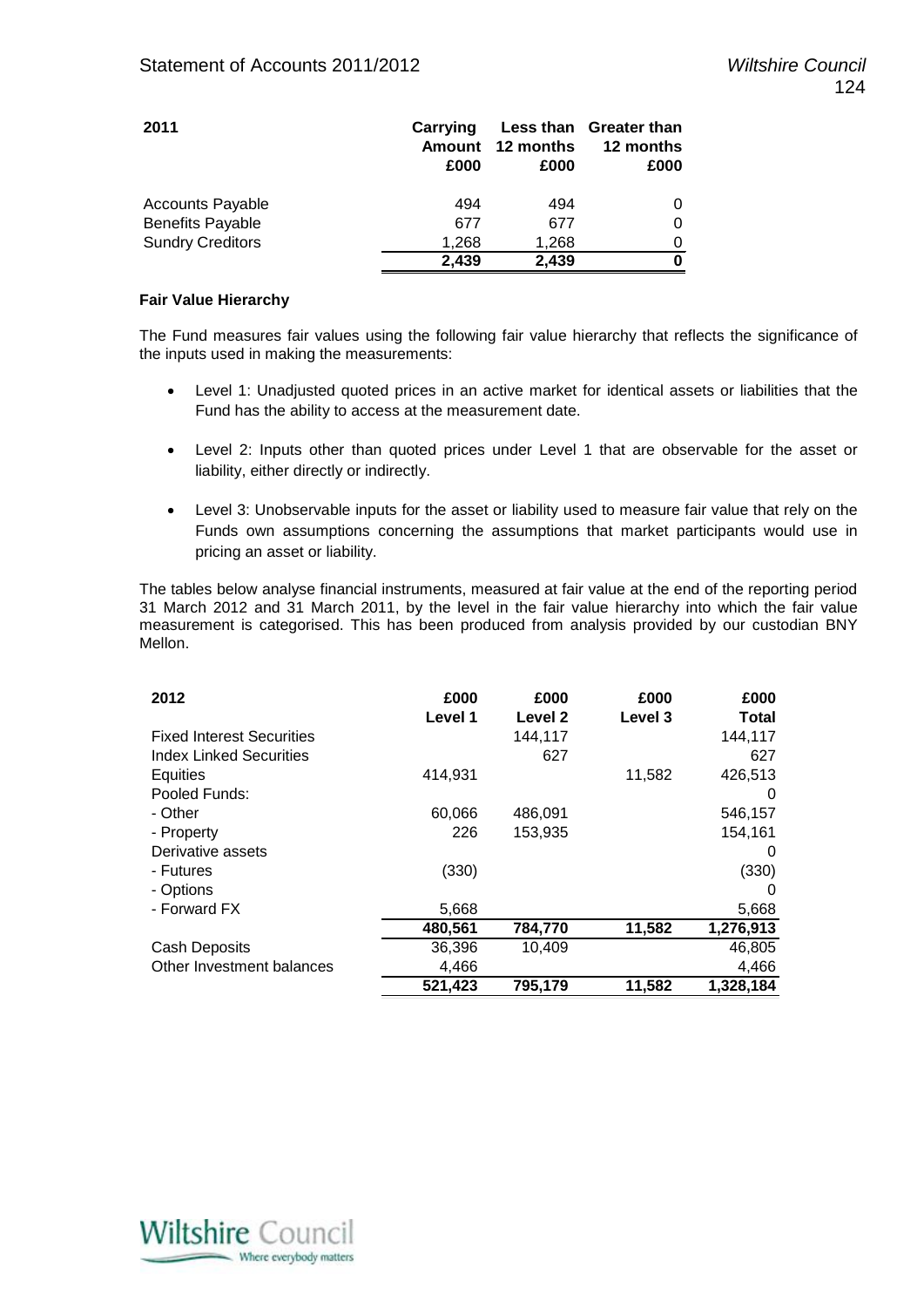| 2011                    | Carrying<br>Amount<br>£000 | 12 months<br>£000 | Less than Greater than<br>12 months<br>£000 |
|-------------------------|----------------------------|-------------------|---------------------------------------------|
| <b>Accounts Payable</b> | 494                        | 494               |                                             |
| <b>Benefits Payable</b> | 677                        | 677               | O                                           |
| <b>Sundry Creditors</b> | 1,268                      | 1,268             |                                             |
|                         | 2,439                      | 2,439             |                                             |

#### **Fair Value Hierarchy**

The Fund measures fair values using the following fair value hierarchy that reflects the significance of the inputs used in making the measurements:

- Level 1: Unadjusted quoted prices in an active market for identical assets or liabilities that the Fund has the ability to access at the measurement date.
- Level 2: Inputs other than quoted prices under Level 1 that are observable for the asset or liability, either directly or indirectly.
- Level 3: Unobservable inputs for the asset or liability used to measure fair value that rely on the Funds own assumptions concerning the assumptions that market participants would use in pricing an asset or liability.

The tables below analyse financial instruments, measured at fair value at the end of the reporting period 31 March 2012 and 31 March 2011, by the level in the fair value hierarchy into which the fair value measurement is categorised. This has been produced from analysis provided by our custodian BNY Mellon.

| 2012                             | £000<br>Level 1 | £000<br>Level 2 | £000<br>Level 3 | £000<br>Total |
|----------------------------------|-----------------|-----------------|-----------------|---------------|
| <b>Fixed Interest Securities</b> |                 | 144,117         |                 | 144,117       |
| <b>Index Linked Securities</b>   |                 | 627             |                 | 627           |
| Equities                         | 414,931         |                 | 11,582          | 426,513       |
| Pooled Funds:                    |                 |                 |                 | $\Omega$      |
| - Other                          | 60,066          | 486,091         |                 | 546,157       |
| - Property                       | 226             | 153,935         |                 | 154,161       |
| Derivative assets                |                 |                 |                 | $\Omega$      |
| - Futures                        | (330)           |                 |                 | (330)         |
| - Options                        |                 |                 |                 | 0             |
| - Forward FX                     | 5,668           |                 |                 | 5,668         |
|                                  | 480,561         | 784,770         | 11,582          | 1,276,913     |
| <b>Cash Deposits</b>             | 36,396          | 10,409          |                 | 46,805        |
| Other Investment balances        | 4,466           |                 |                 | 4,466         |
|                                  | 521,423         | 795,179         | 11,582          | 1,328,184     |

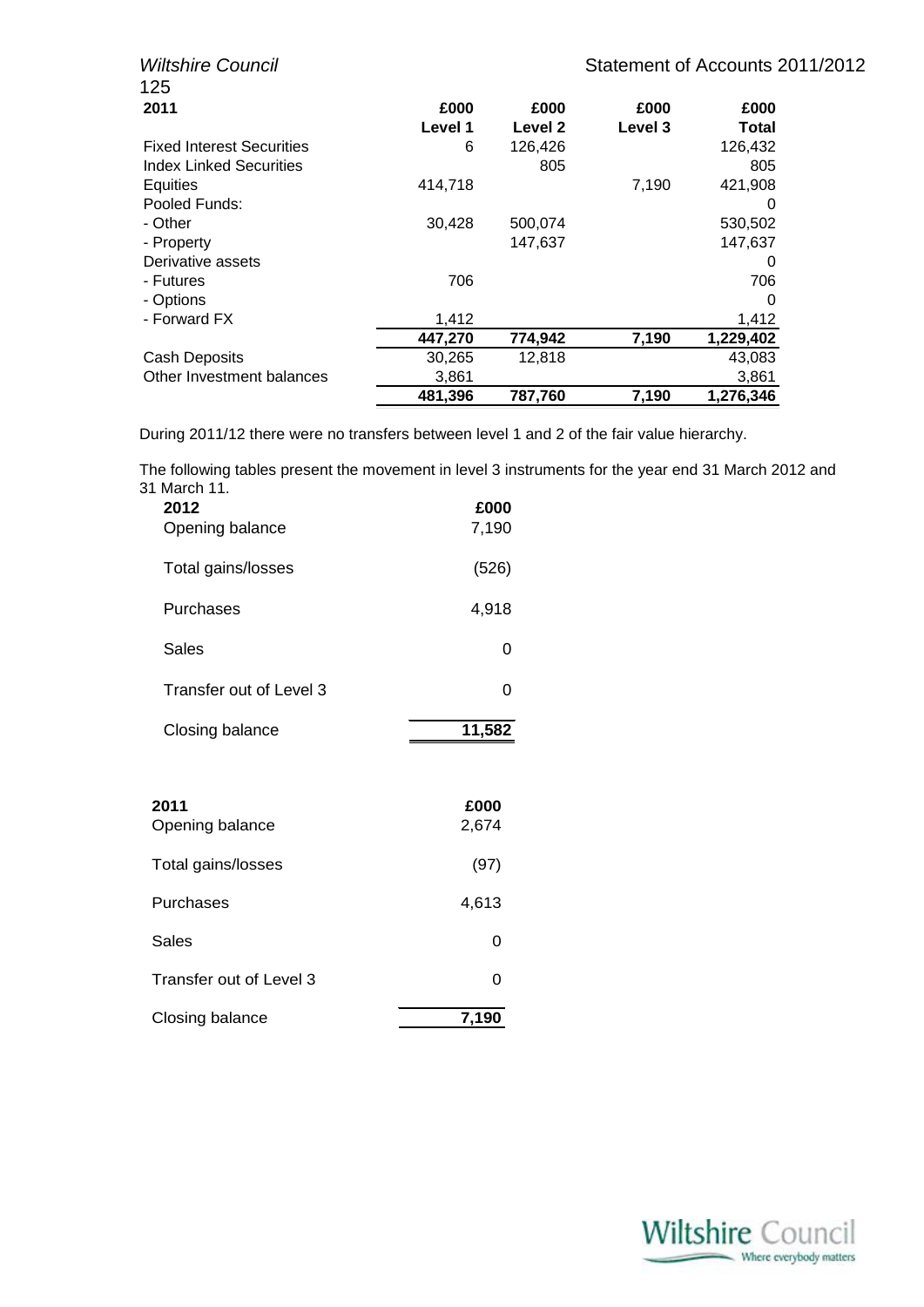| <b>Wiltshire Council</b>         |         |         |         | Statement of Accounts 2011/2012 |  |
|----------------------------------|---------|---------|---------|---------------------------------|--|
| 125                              |         |         |         |                                 |  |
| 2011                             | £000    | £000    | £000    | £000                            |  |
|                                  | Level 1 | Level 2 | Level 3 | Total                           |  |
| <b>Fixed Interest Securities</b> | 6       | 126,426 |         | 126,432                         |  |
| <b>Index Linked Securities</b>   |         | 805     |         | 805                             |  |
| Equities                         | 414,718 |         | 7,190   | 421,908                         |  |
| Pooled Funds:                    |         |         |         | 0                               |  |
| - Other                          | 30,428  | 500,074 |         | 530,502                         |  |
| - Property                       |         | 147,637 |         | 147.637                         |  |
| Derivative assets                |         |         |         | O                               |  |
| - Futures                        | 706     |         |         | 706                             |  |
| - Options                        |         |         |         | 0                               |  |
| - Forward FX                     | 1,412   |         |         | 1,412                           |  |
|                                  | 447,270 | 774,942 | 7,190   | 1,229,402                       |  |
| Cash Deposits                    | 30,265  | 12,818  |         | 43,083                          |  |
| Other Investment balances        | 3,861   |         |         | 3,861                           |  |
|                                  | 481,396 | 787,760 | 7,190   | 1,276,346                       |  |

During 2011/12 there were no transfers between level 1 and 2 of the fair value hierarchy.

The following tables present the movement in level 3 instruments for the year end 31 March 2012 and 31 March 11.

| 2012<br>Opening balance | £000<br>7,190 |
|-------------------------|---------------|
| Total gains/losses      | (526)         |
| Purchases               | 4,918         |
| Sales                   | 0             |
| Transfer out of Level 3 | 0             |
| Closing balance         | 11,582        |
|                         |               |
| 2011<br>Opening balance | £000<br>2,674 |
| Total gains/losses      | (97)          |
| Purchases               | 4,613         |
| Sales                   | 0             |
| Transfer out of Level 3 | 0             |
| Closing balance         | 7,190         |

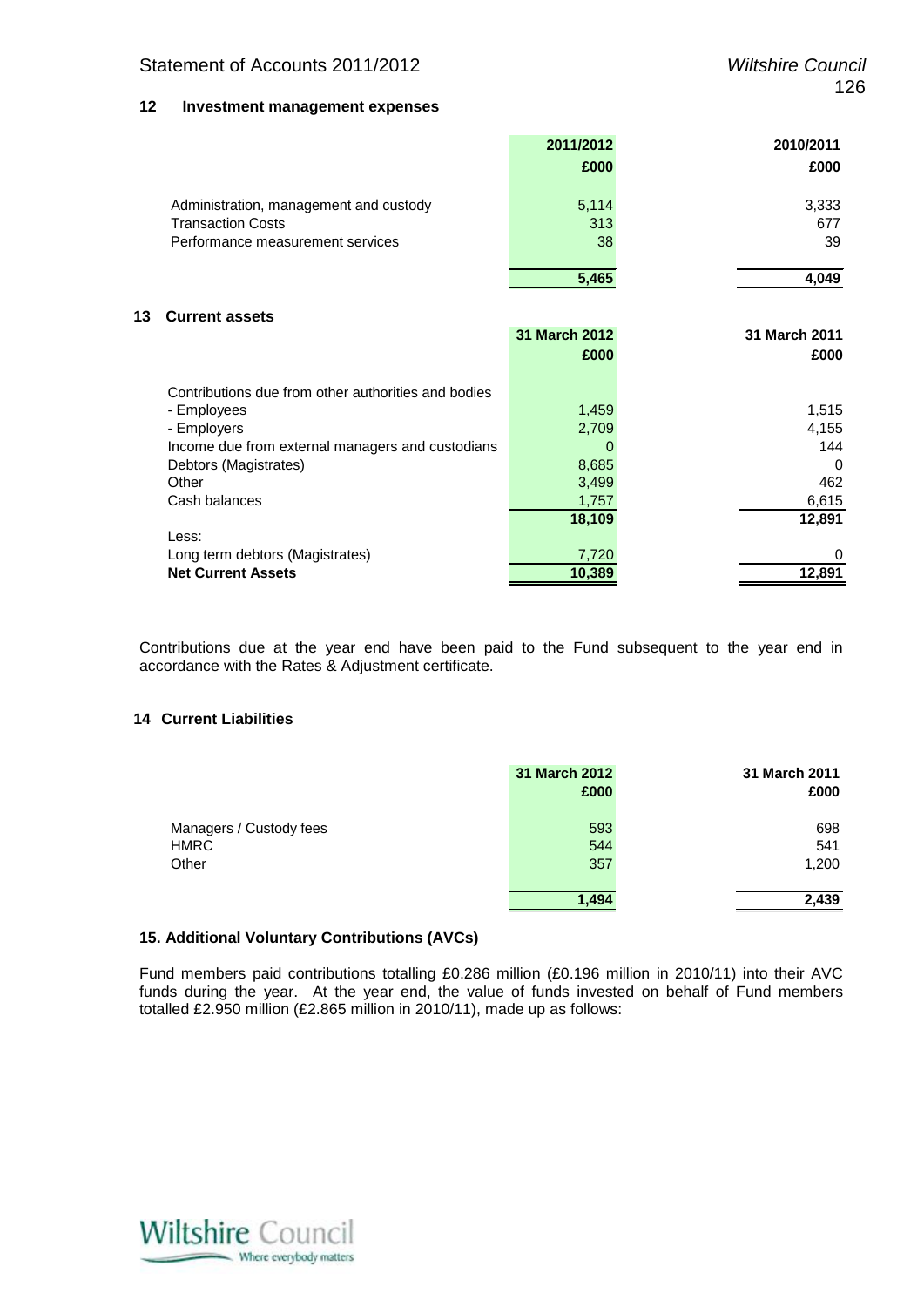#### Statement of Accounts 2011/2012 *Wiltshire Council*

#### **12 Investment management expenses**

|    |                                                     | 2011/2012     | 2010/2011     |
|----|-----------------------------------------------------|---------------|---------------|
|    |                                                     | £000          | £000          |
|    |                                                     |               |               |
|    | Administration, management and custody              | 5,114         | 3,333         |
|    | <b>Transaction Costs</b>                            | 313           | 677           |
|    | Performance measurement services                    | 38            | 39            |
|    |                                                     | 5,465         | 4,049         |
|    |                                                     |               |               |
| 13 | <b>Current assets</b>                               |               |               |
|    |                                                     | 31 March 2012 | 31 March 2011 |
|    |                                                     | £000          | £000          |
|    | Contributions due from other authorities and bodies |               |               |
|    | - Employees                                         | 1,459         | 1,515         |
|    | - Employers                                         | 2,709         | 4,155         |
|    | Income due from external managers and custodians    | 0             | 144           |
|    | Debtors (Magistrates)                               | 8,685         | 0             |
|    | Other                                               | 3,499         | 462           |
|    | Cash balances                                       | 1,757         | 6,615         |
|    |                                                     | 18,109        | 12,891        |
|    | Less:                                               |               |               |
|    | Long term debtors (Magistrates)                     | 7,720         | 0             |
|    | <b>Net Current Assets</b>                           | 10,389        | 12,891        |

Contributions due at the year end have been paid to the Fund subsequent to the year end in accordance with the Rates & Adjustment certificate.

#### **14 Current Liabilities**

|                                                 | 31 March 2012<br>£000 | 31 March 2011<br>£000 |
|-------------------------------------------------|-----------------------|-----------------------|
| Managers / Custody fees<br><b>HMRC</b><br>Other | 593<br>544<br>357     | 698<br>541<br>1,200   |
|                                                 | 1.494                 | 2,439                 |

#### **15. Additional Voluntary Contributions (AVCs)**

Fund members paid contributions totalling £0.286 million (£0.196 million in 2010/11) into their AVC funds during the year. At the year end, the value of funds invested on behalf of Fund members totalled £2.950 million (£2.865 million in 2010/11), made up as follows:

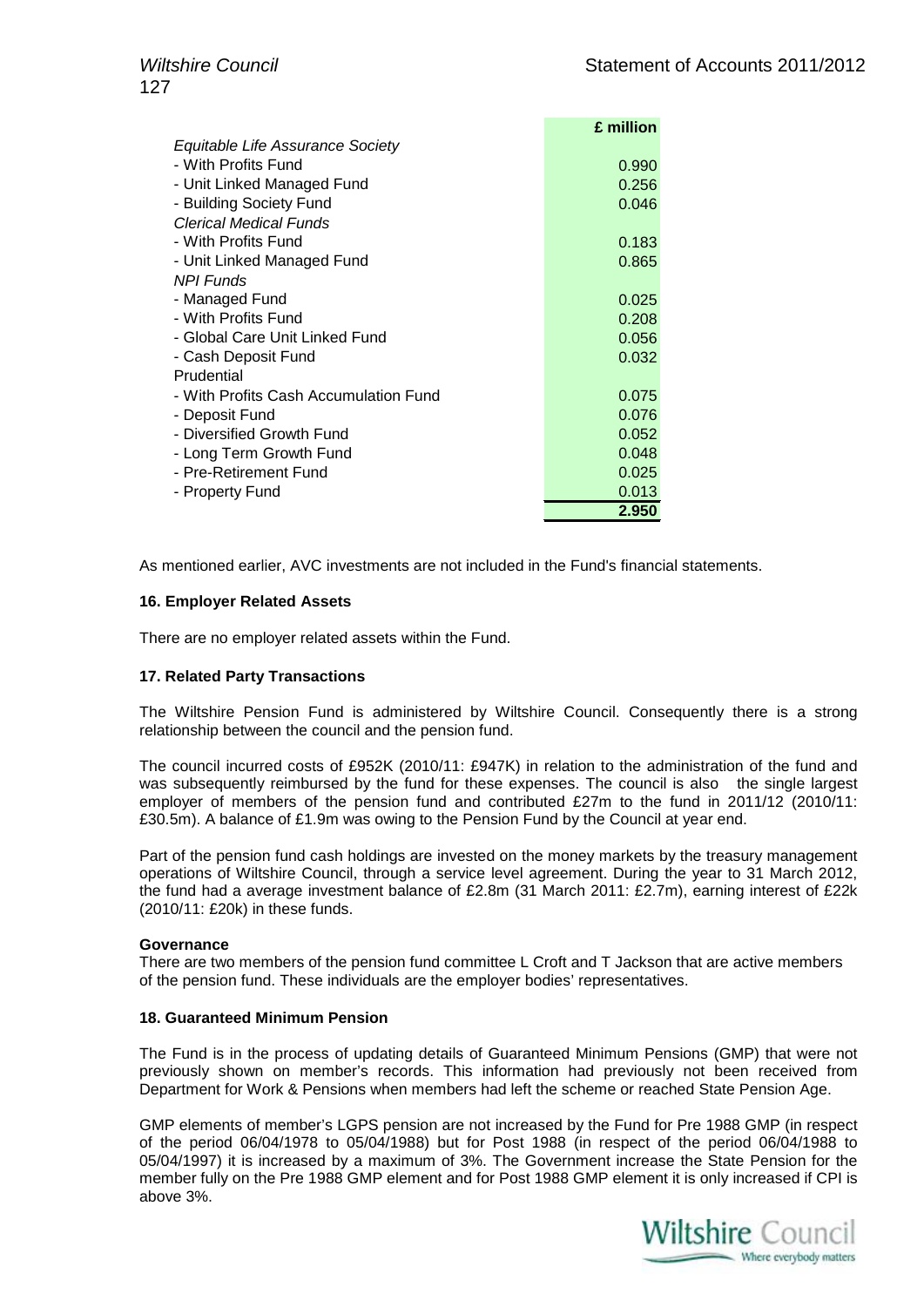|                                       | £ million |
|---------------------------------------|-----------|
| Equitable Life Assurance Society      |           |
| - With Profits Fund                   | 0.990     |
| - Unit Linked Managed Fund            | 0.256     |
| - Building Society Fund               | 0.046     |
| Clerical Medical Funds                |           |
| - With Profits Fund                   | 0.183     |
| - Unit Linked Managed Fund            | 0.865     |
| <b>NPI Funds</b>                      |           |
| - Managed Fund                        | 0.025     |
| - With Profits Fund                   | 0.208     |
| - Global Care Unit Linked Fund        | 0.056     |
| - Cash Deposit Fund                   | 0.032     |
| Prudential                            |           |
| - With Profits Cash Accumulation Fund | 0.075     |
| - Deposit Fund                        | 0.076     |
| - Diversified Growth Fund             | 0.052     |
| - Long Term Growth Fund               | 0.048     |
| - Pre-Retirement Fund                 | 0.025     |
| - Property Fund                       | 0.013     |
|                                       | 2.950     |

As mentioned earlier, AVC investments are not included in the Fund's financial statements.

#### **16. Employer Related Assets**

There are no employer related assets within the Fund.

#### **17. Related Party Transactions**

The Wiltshire Pension Fund is administered by Wiltshire Council. Consequently there is a strong relationship between the council and the pension fund.

The council incurred costs of £952K (2010/11: £947K) in relation to the administration of the fund and was subsequently reimbursed by the fund for these expenses. The council is also the single largest employer of members of the pension fund and contributed £27m to the fund in 2011/12 (2010/11: £30.5m). A balance of £1.9m was owing to the Pension Fund by the Council at year end.

Part of the pension fund cash holdings are invested on the money markets by the treasury management operations of Wiltshire Council, through a service level agreement. During the year to 31 March 2012, the fund had a average investment balance of £2.8m (31 March 2011: £2.7m), earning interest of £22k (2010/11: £20k) in these funds.

#### **Governance**

There are two members of the pension fund committee L Croft and T Jackson that are active members of the pension fund. These individuals are the employer bodies' representatives.

#### **18. Guaranteed Minimum Pension**

The Fund is in the process of updating details of Guaranteed Minimum Pensions (GMP) that were not previously shown on member's records. This information had previously not been received from Department for Work & Pensions when members had left the scheme or reached State Pension Age.

GMP elements of member's LGPS pension are not increased by the Fund for Pre 1988 GMP (in respect of the period 06/04/1978 to 05/04/1988) but for Post 1988 (in respect of the period 06/04/1988 to 05/04/1997) it is increased by a maximum of 3%. The Government increase the State Pension for the member fully on the Pre 1988 GMP element and for Post 1988 GMP element it is only increased if CPI is above 3%.

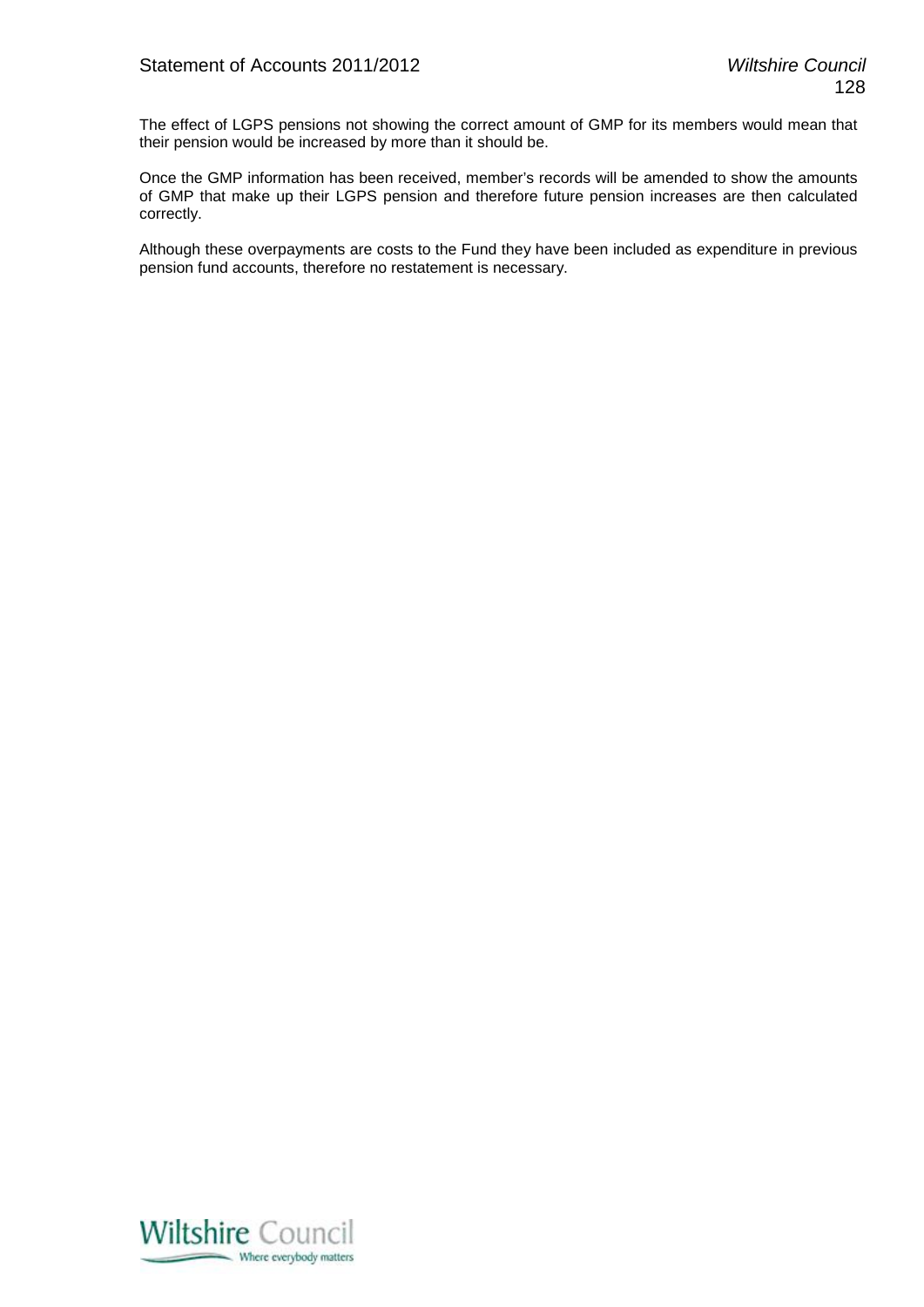The effect of LGPS pensions not showing the correct amount of GMP for its members would mean that their pension would be increased by more than it should be.

Once the GMP information has been received, member's records will be amended to show the amounts of GMP that make up their LGPS pension and therefore future pension increases are then calculated correctly.

Although these overpayments are costs to the Fund they have been included as expenditure in previous pension fund accounts, therefore no restatement is necessary.

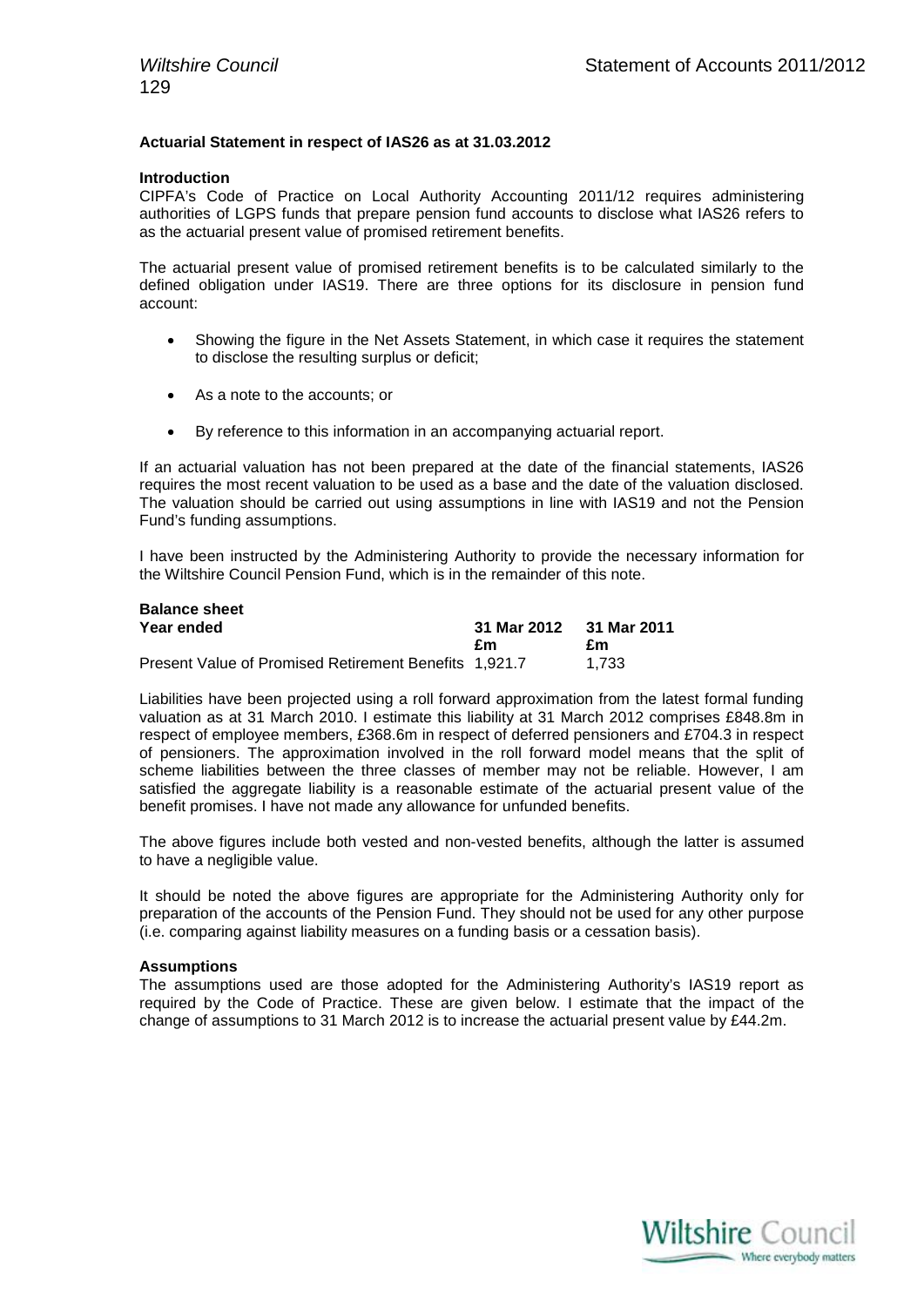#### **Actuarial Statement in respect of IAS26 as at 31.03.2012**

#### **Introduction**

CIPFA's Code of Practice on Local Authority Accounting 2011/12 requires administering authorities of LGPS funds that prepare pension fund accounts to disclose what IAS26 refers to as the actuarial present value of promised retirement benefits.

The actuarial present value of promised retirement benefits is to be calculated similarly to the defined obligation under IAS19. There are three options for its disclosure in pension fund account:

- Showing the figure in the Net Assets Statement, in which case it requires the statement to disclose the resulting surplus or deficit;
- As a note to the accounts; or
- By reference to this information in an accompanying actuarial report.

If an actuarial valuation has not been prepared at the date of the financial statements, IAS26 requires the most recent valuation to be used as a base and the date of the valuation disclosed. The valuation should be carried out using assumptions in line with IAS19 and not the Pension Fund's funding assumptions.

I have been instructed by the Administering Authority to provide the necessary information for the Wiltshire Council Pension Fund, which is in the remainder of this note.

| <b>Balance sheet</b>                                  |                         |       |
|-------------------------------------------------------|-------------------------|-------|
| Year ended                                            | 31 Mar 2012 31 Mar 2011 |       |
|                                                       | £m                      | £m    |
| Present Value of Promised Retirement Benefits 1,921.7 |                         | 1.733 |

Liabilities have been projected using a roll forward approximation from the latest formal funding valuation as at 31 March 2010. I estimate this liability at 31 March 2012 comprises £848.8m in respect of employee members, £368.6m in respect of deferred pensioners and £704.3 in respect of pensioners. The approximation involved in the roll forward model means that the split of scheme liabilities between the three classes of member may not be reliable. However, I am satisfied the aggregate liability is a reasonable estimate of the actuarial present value of the benefit promises. I have not made any allowance for unfunded benefits.

The above figures include both vested and non-vested benefits, although the latter is assumed to have a negligible value.

It should be noted the above figures are appropriate for the Administering Authority only for preparation of the accounts of the Pension Fund. They should not be used for any other purpose (i.e. comparing against liability measures on a funding basis or a cessation basis).

#### **Assumptions**

The assumptions used are those adopted for the Administering Authority's IAS19 report as required by the Code of Practice. These are given below. I estimate that the impact of the change of assumptions to 31 March 2012 is to increase the actuarial present value by £44.2m.

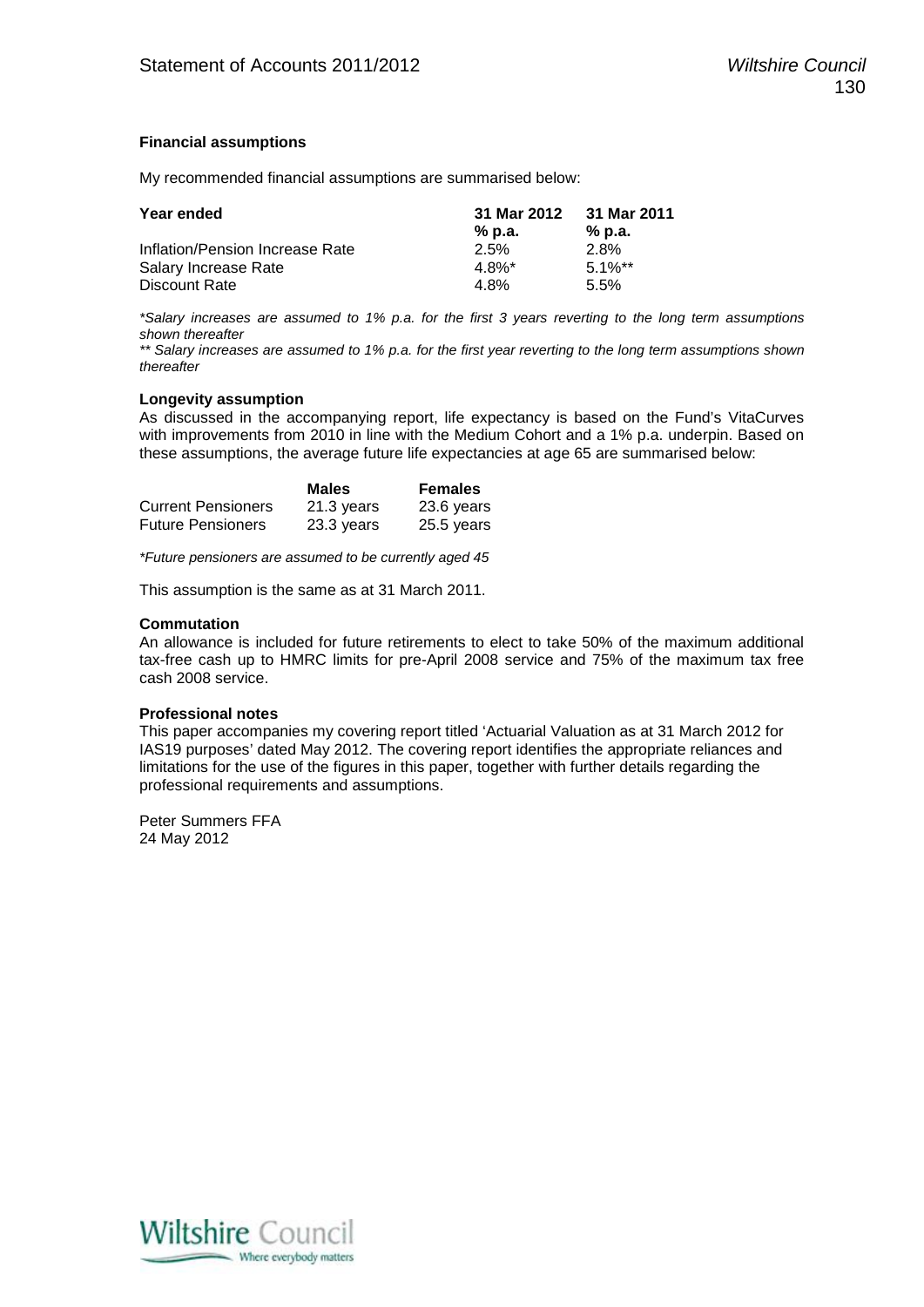#### **Financial assumptions**

My recommended financial assumptions are summarised below:

| Year ended                      | 31 Mar 2012 | 31 Mar 2011 |
|---------------------------------|-------------|-------------|
|                                 | % p.a.      | % p.a.      |
| Inflation/Pension Increase Rate | 2.5%        | 2.8%        |
| Salary Increase Rate            | $4.8\%$ *   | $5.1\%**$   |
| Discount Rate                   | 4.8%        | $5.5\%$     |

*\*Salary increases are assumed to 1% p.a. for the first 3 years reverting to the long term assumptions shown thereafter*

*\*\* Salary increases are assumed to 1% p.a. for the first year reverting to the long term assumptions shown thereafter*

#### **Longevity assumption**

As discussed in the accompanying report, life expectancy is based on the Fund's VitaCurves with improvements from 2010 in line with the Medium Cohort and a 1% p.a. underpin. Based on these assumptions, the average future life expectancies at age 65 are summarised below:

|                           | <b>Males</b> | <b>Females</b> |
|---------------------------|--------------|----------------|
| <b>Current Pensioners</b> | 21.3 years   | 23.6 years     |
| <b>Future Pensioners</b>  | 23.3 years   | $25.5$ years   |

*\*Future pensioners are assumed to be currently aged 45*

This assumption is the same as at 31 March 2011.

#### **Commutation**

An allowance is included for future retirements to elect to take 50% of the maximum additional tax-free cash up to HMRC limits for pre-April 2008 service and 75% of the maximum tax free cash 2008 service.

#### **Professional notes**

This paper accompanies my covering report titled 'Actuarial Valuation as at 31 March 2012 for IAS19 purposes' dated May 2012. The covering report identifies the appropriate reliances and limitations for the use of the figures in this paper, together with further details regarding the professional requirements and assumptions.

Peter Summers FFA 24 May 2012

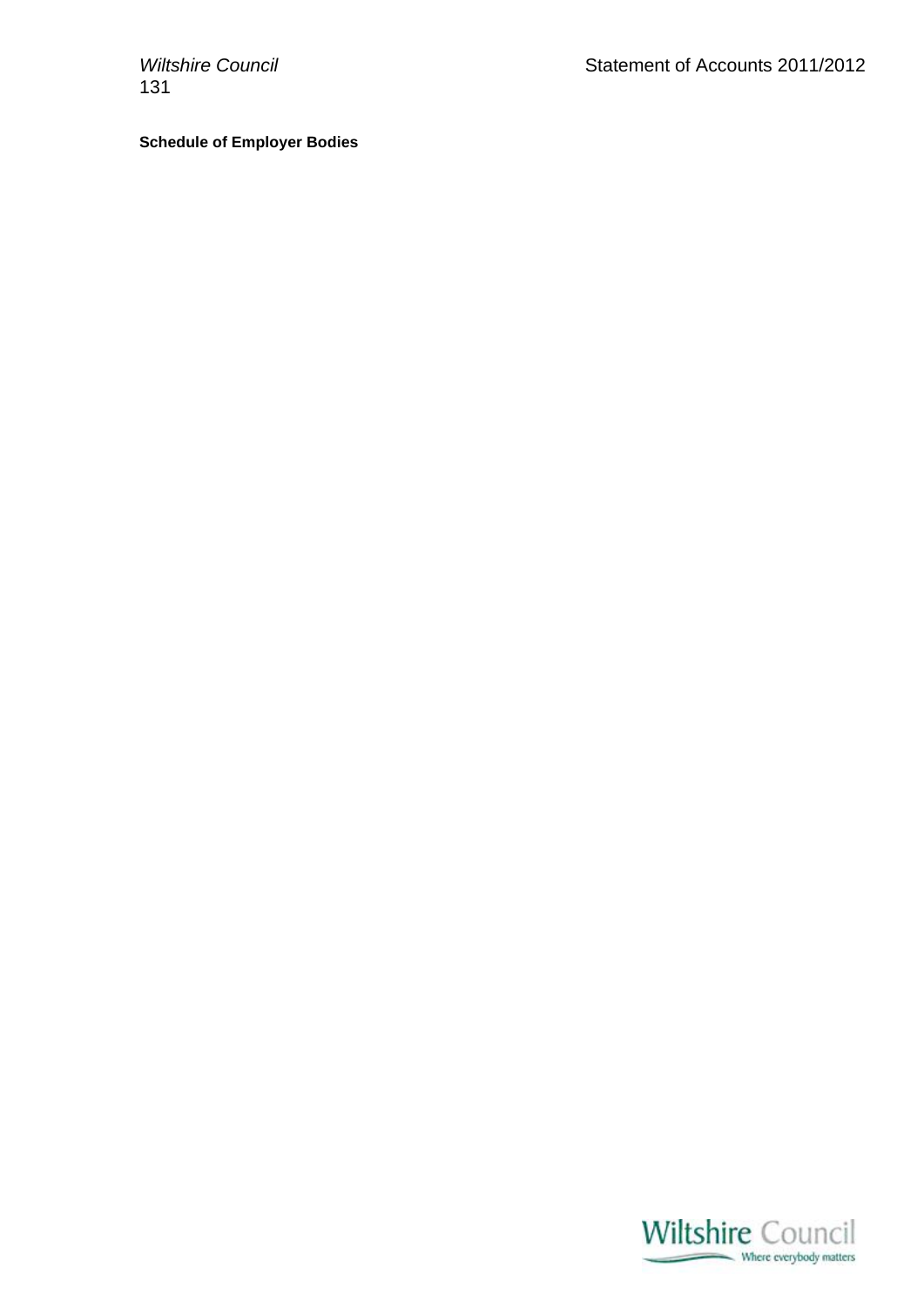131

# **Schedule of Employer Bodies**

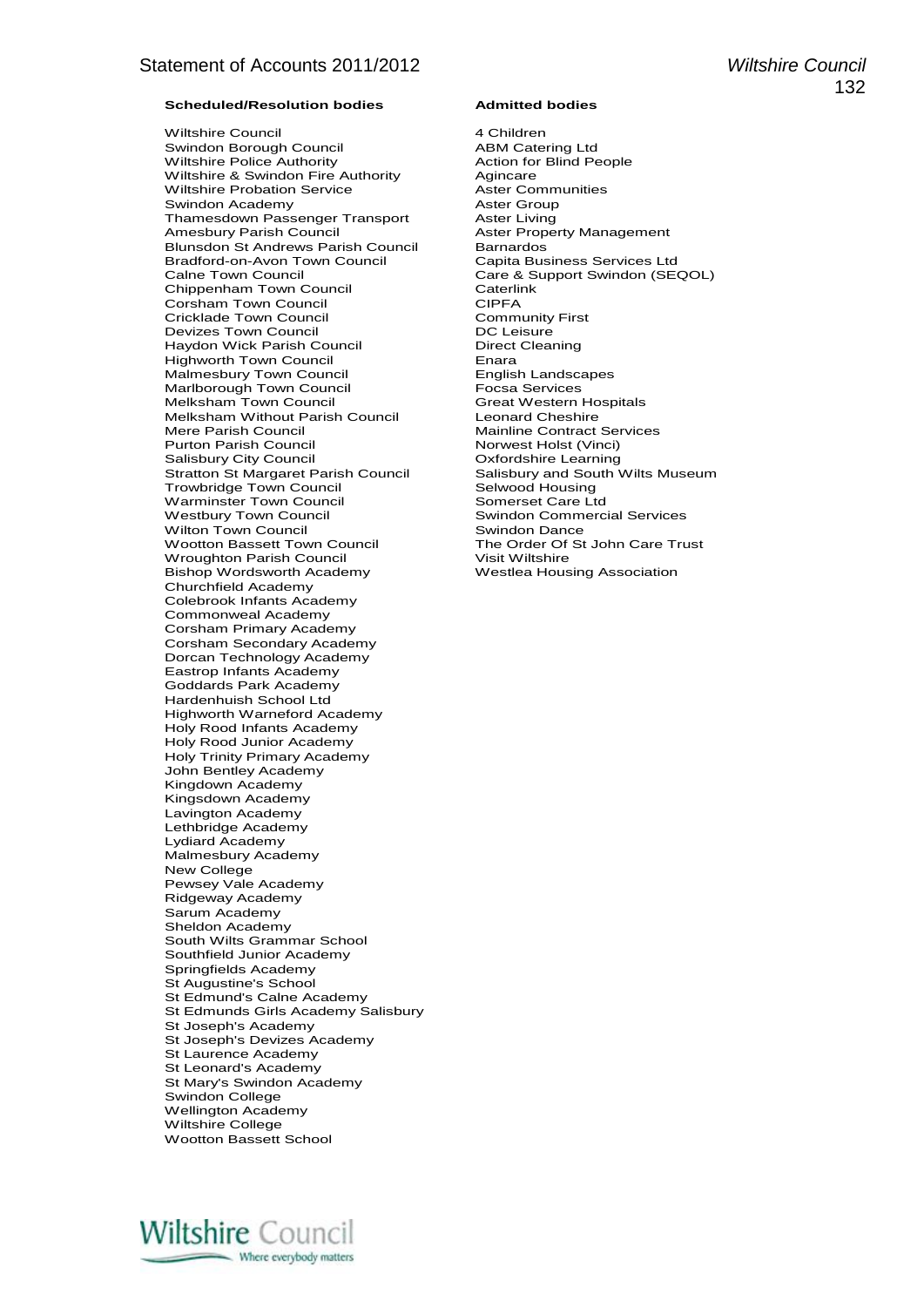Wiltshire Council 4 Children Swindon Borough Council **ABM Catering Ltd**<br>
Wiltshire Police Authority **Action** Action for Blind People Wiltshire Police Authority Wiltshire & Swindon Fire Authority **Agincare**<br>
Wiltshire Probation Service **Agincy Aster Communities** Wiltshire Probation Service **Aster Community Community**<br>
Swindon Academy **Aster Group** Swindon Academy<br>
Thamesdown Passenger Transport

Aster Living Thamesdown Passenger Transport<br>Amesbury Parish Council Blunsdon St Andrews Parish Council Barnardos<br>
Bradford-on-Avon Town Council Capita Business Services Ltd Bradford-on-Avon Town Council<br>Calne Town Council Chippenham Town Council **Caterling Council** Corsham Town Council CIPFA Corsham Town Council **CIPFA**<br>Cricklade Town Council Community First Cricklade Town Council Community<br>
Devizes Town Council Community<br>
DC Leisure Devizes Town Council **DEVIT COUNTS CONTAINATION**<br>
Haydon Wick Parish Council **Direct Cleaning** Haydon Wick Parish Council **Communist Construct** Direct Direct Direct Council Direct Chemist Direct Chemist Direct Chemist Direct Chemist Direct Chemist Direct Chemist Direct Direct Direct Direct Direct Direct Direct Direc Highworth Town Council **Enara**<br>
Malmesbury Town Council **English Landscapes** Malmesbury Town Council **English Landscapes**<br>Marlborough Town Council **Example Example Focsa Services** Marlborough Town Council **Focsa Services**<br>Melksham Town Council **Focsa Services**<br>Great Western Hospitals Melksham Town Council Great Western Hospitals Are Great Western Hospitals Council Great Western Hospitals Melkshire Melksham Without Parish Council<br>Mere Parish Council Purton Parish Council Norwest Holst (Vinci)<br>
Salisbury City Council Norwest Holst Control Control Control of American Control of American Control Control C Salisbury City Council<br>Stratton St Margaret Parish Council Trowbridge Town Council **Selwood Housing**<br>
Warminster Town Council Somerset Care Ltd Warminster Town Council<br>Westbury Town Council Wilton Town Council **Swindon Dance**<br>
Wootton Bassett Town Council **Summer The Order Of St John Care Trust** Wootton Bassett Town Council The Order Of The Order Of Structure Trust After Structure Trust After Structure T<br>Wroughton Parish Council Trust After Wiltshire Wroughton Parish Council Bishop Wordsworth Academy Westlea Housing Association Churchfield Academy Colebrook Infants Academy Commonweal Academy Corsham Primary Academy Corsham Secondary Academy Dorcan Technology Academy Eastrop Infants Academy Goddards Park Academy Hardenhuish School Ltd Highworth Warneford Academy Holy Rood Infants Academy Holy Rood Junior Academy Holy Trinity Primary Academy John Bentley Academy Kingdown Academy Kingsdown Academy Lavington Academy Lethbridge Academy Lydiard Academy Malmesbury Academy New College Pewsey Vale Academy Ridgeway Academy Sarum Academy Sheldon Academy South Wilts Grammar School Southfield Junior Academy Springfields Academy St Augustine's School St Edmund's Calne Academy St Edmunds Girls Academy Salisbury St Joseph's Academy St Joseph's Devizes Academy St Laurence Academy St Leonard's Academy St Mary's Swindon Academy Swindon College Wellington Academy Wiltshire College Wootton Bassett School

Aster Property Management<br>Barnardos Care & Support Swindon (SEQOL)<br>Caterlink Mainline Contract Services<br>Norwest Holst (Vinci) Salisbury and South Wilts Museum<br>Selwood Housing Swindon Commercial Services<br>Swindon Dance